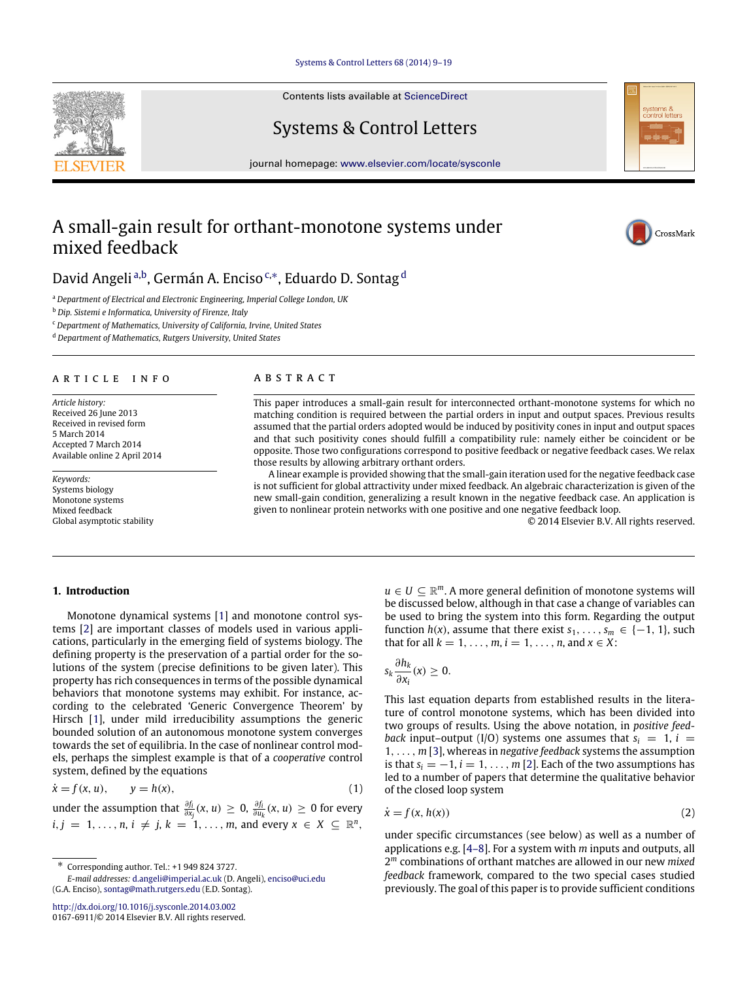[Systems & Control Letters 68 \(2014\) 9–19](http://dx.doi.org/10.1016/j.sysconle.2014.03.002)

Contents lists available at [ScienceDirect](http://www.elsevier.com/locate/sysconle)

Systems & Control Letters

journal homepage: [www.elsevier.com/locate/sysconle](http://www.elsevier.com/locate/sysconle)

# A small-gain result for orthant-monotone systems under mixed feedback

D[a](#page-0-0)vid Angeli <sup>a[,b](#page-0-1)</sup>, Germán A. Enciso <sup>[c,](#page-0-2)[∗](#page-0-3)</sup>, E[d](#page-0-4)uardo D. Sontag <sup>d</sup>

<span id="page-0-0"></span><sup>a</sup> *Department of Electrical and Electronic Engineering, Imperial College London, UK*

<span id="page-0-1"></span><sup>b</sup> *Dip. Sistemi e Informatica, University of Firenze, Italy*

<span id="page-0-2"></span><sup>c</sup> *Department of Mathematics, University of California, Irvine, United States*

<span id="page-0-4"></span><sup>d</sup> *Department of Mathematics, Rutgers University, United States*

# a r t i c l e i n f o

*Article history:* Received 26 June 2013 Received in revised form 5 March 2014 Accepted 7 March 2014 Available online 2 April 2014

*Keywords:* Systems biology Monotone systems Mixed feedback Global asymptotic stability

# a b s t r a c t

This paper introduces a small-gain result for interconnected orthant-monotone systems for which no matching condition is required between the partial orders in input and output spaces. Previous results assumed that the partial orders adopted would be induced by positivity cones in input and output spaces and that such positivity cones should fulfill a compatibility rule: namely either be coincident or be opposite. Those two configurations correspond to positive feedback or negative feedback cases. We relax those results by allowing arbitrary orthant orders.

A linear example is provided showing that the small-gain iteration used for the negative feedback case is not sufficient for global attractivity under mixed feedback. An algebraic characterization is given of the new small-gain condition, generalizing a result known in the negative feedback case. An application is given to nonlinear protein networks with one positive and one negative feedback loop.

© 2014 Elsevier B.V. All rights reserved.

# **1. Introduction**

Monotone dynamical systems [\[1\]](#page-9-0) and monotone control systems [\[2\]](#page-9-1) are important classes of models used in various applications, particularly in the emerging field of systems biology. The defining property is the preservation of a partial order for the solutions of the system (precise definitions to be given later). This property has rich consequences in terms of the possible dynamical behaviors that monotone systems may exhibit. For instance, according to the celebrated 'Generic Convergence Theorem' by Hirsch [\[1\]](#page-9-0), under mild irreducibility assumptions the generic bounded solution of an autonomous monotone system converges towards the set of equilibria. In the case of nonlinear control models, perhaps the simplest example is that of a *cooperative* control system, defined by the equations

$$
\dot{x} = f(x, u), \qquad y = h(x), \tag{1}
$$

under the assumption that  $\frac{\partial f_i}{\partial x_j}(x,u) \geq 0$ ,  $\frac{\partial f_i}{\partial u_k}(x,u) \geq 0$  for every  $i, j = 1, \ldots, n, i \neq j, k = 1, \ldots, m$ , and every  $x \in X \subseteq \mathbb{R}^n$ ,

<span id="page-0-3"></span>∗ Corresponding author. Tel.: +1 949 824 3727.

<http://dx.doi.org/10.1016/j.sysconle.2014.03.002> 0167-6911/© 2014 Elsevier B.V. All rights reserved.

 $u \in U \subseteq \mathbb{R}^m$ . A more general definition of monotone systems will be discussed below, although in that case a change of variables can be used to bring the system into this form. Regarding the output function  $h(x)$ , assume that there exist  $s_1, \ldots, s_m \in \{-1, 1\}$ , such that for all  $k = 1, ..., m$ ,  $i = 1, ..., n$ , and  $x \in X$ :

$$
s_k \frac{\partial h_k}{\partial x_i}(x) \geq 0.
$$

This last equation departs from established results in the literature of control monotone systems, which has been divided into two groups of results. Using the above notation, in *positive feedback* input–output (I/O) systems one assumes that  $s_i = 1$ ,  $i =$ 1, . . . , *m* [\[3\]](#page-9-2), whereas in *negative feedback* systems the assumption is that  $s_i = -1$ ,  $i = 1, \ldots, m$  [\[2\]](#page-9-1). Each of the two assumptions has led to a number of papers that determine the qualitative behavior of the closed loop system

<span id="page-0-6"></span><span id="page-0-5"></span>
$$
\dot{x} = f(x, h(x))
$$
 (2)

under specific circumstances (see below) as well as a number of applications e.g. [\[4–8\]](#page-9-3). For a system with *m* inputs and outputs, all 2 *<sup>m</sup>* combinations of orthant matches are allowed in our new *mixed feedback* framework, compared to the two special cases studied previously. The goal of this paper is to provide sufficient conditions





CrossMark

*E-mail addresses:* [d.angeli@imperial.ac.uk](mailto:d.angeli@imperial.ac.uk) (D. Angeli), [enciso@uci.edu](mailto:enciso@uci.edu) (G.A. Enciso), [sontag@math.rutgers.edu](mailto:sontag@math.rutgers.edu) (E.D. Sontag).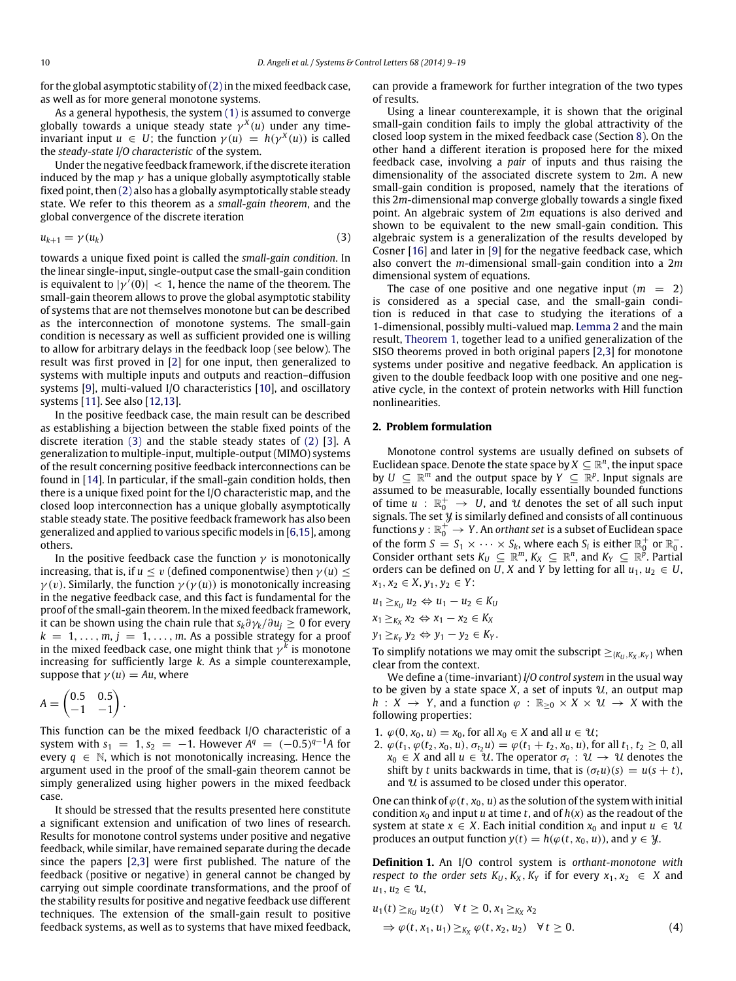for the global asymptotic stability of  $(2)$  in the mixed feedback case, as well as for more general monotone systems.

As a general hypothesis, the system [\(1\)](#page-0-6) is assumed to converge globally towards a unique steady state γ *X* (*u*) under any timeinvariant input  $u \in U$ ; the function  $\gamma(u) = h(\gamma^X(u))$  is called the *steady-state I/O characteristic* of the system.

Under the negative feedback framework, if the discrete iteration induced by the map  $\gamma$  has a unique globally asymptotically stable fixed point, then [\(2\)](#page-0-5) also has a globally asymptotically stable steady state. We refer to this theorem as a *small-gain theorem*, and the global convergence of the discrete iteration

$$
u_{k+1} = \gamma(u_k) \tag{3}
$$

towards a unique fixed point is called the *small-gain condition*. In the linear single-input, single-output case the small-gain condition is equivalent to  $|\gamma'(0)| < 1$ , hence the name of the theorem. The small-gain theorem allows to prove the global asymptotic stability of systems that are not themselves monotone but can be described as the interconnection of monotone systems. The small-gain condition is necessary as well as sufficient provided one is willing to allow for arbitrary delays in the feedback loop (see below). The result was first proved in [\[2\]](#page-9-1) for one input, then generalized to systems with multiple inputs and outputs and reaction–diffusion systems [\[9\]](#page-10-0), multi-valued I/O characteristics [\[10\]](#page-10-1), and oscillatory systems [\[11\]](#page-10-2). See also [\[12](#page-10-3)[,13\]](#page-10-4).

In the positive feedback case, the main result can be described as establishing a bijection between the stable fixed points of the discrete iteration [\(3\)](#page-1-0) and the stable steady states of [\(2\)](#page-0-5) [\[3\]](#page-9-2). A generalization to multiple-input, multiple-output (MIMO) systems of the result concerning positive feedback interconnections can be found in [\[14\]](#page-10-5). In particular, if the small-gain condition holds, then there is a unique fixed point for the I/O characteristic map, and the closed loop interconnection has a unique globally asymptotically stable steady state. The positive feedback framework has also been generalized and applied to various specific models in [\[6,](#page-10-6)[15\]](#page-10-7), among others.

In the positive feedback case the function  $\gamma$  is monotonically increasing, that is, if  $u \le v$  (defined componentwise) then  $\gamma(u) \le$  $\gamma(v)$ . Similarly, the function  $\gamma(\gamma(u))$  is monotonically increasing in the negative feedback case, and this fact is fundamental for the proof of the small-gain theorem. In the mixed feedback framework, it can be shown using the chain rule that  $s_k \partial \gamma_k / \partial u_j \geq 0$  for every  $k = 1, \ldots, m, j = 1, \ldots, m$ . As a possible strategy for a proof in the mixed feedback case, one might think that  $\gamma^k$  is monotone increasing for sufficiently large *k*. As a simple counterexample, suppose that  $\gamma(u) = Au$ , where

$$
A = \begin{pmatrix} 0.5 & 0.5 \\ -1 & -1 \end{pmatrix}.
$$

This function can be the mixed feedback I/O characteristic of a system with  $s_1 = 1, s_2 = -1$ . However  $A^q = (-0.5)^{q-1}A$  for every  $q \in \mathbb{N}$ , which is not monotonically increasing. Hence the argument used in the proof of the small-gain theorem cannot be simply generalized using higher powers in the mixed feedback case.

It should be stressed that the results presented here constitute a significant extension and unification of two lines of research. Results for monotone control systems under positive and negative feedback, while similar, have remained separate during the decade since the papers [\[2,](#page-9-1)[3\]](#page-9-2) were first published. The nature of the feedback (positive or negative) in general cannot be changed by carrying out simple coordinate transformations, and the proof of the stability results for positive and negative feedback use different techniques. The extension of the small-gain result to positive feedback systems, as well as to systems that have mixed feedback,

can provide a framework for further integration of the two types of results.

Using a linear counterexample, it is shown that the original small-gain condition fails to imply the global attractivity of the closed loop system in the mixed feedback case (Section [8\)](#page-8-0). On the other hand a different iteration is proposed here for the mixed feedback case, involving a *pair* of inputs and thus raising the dimensionality of the associated discrete system to 2*m*. A new small-gain condition is proposed, namely that the iterations of this 2*m*-dimensional map converge globally towards a single fixed point. An algebraic system of 2*m* equations is also derived and shown to be equivalent to the new small-gain condition. This algebraic system is a generalization of the results developed by Cosner [\[16\]](#page-10-8) and later in [\[9\]](#page-10-0) for the negative feedback case, which also convert the *m*-dimensional small-gain condition into a 2*m* dimensional system of equations.

<span id="page-1-0"></span>The case of one positive and one negative input  $(m = 2)$ is considered as a special case, and the small-gain condition is reduced in that case to studying the iterations of a 1-dimensional, possibly multi-valued map. [Lemma 2](#page-3-0) and the main result, [Theorem 1,](#page-3-1) together lead to a unified generalization of the SISO theorems proved in both original papers [\[2,](#page-9-1)[3\]](#page-9-2) for monotone systems under positive and negative feedback. An application is given to the double feedback loop with one positive and one negative cycle, in the context of protein networks with Hill function nonlinearities.

### **2. Problem formulation**

Monotone control systems are usually defined on subsets of Euclidean space. Denote the state space by  $X \subseteq \mathbb{R}^n$ , the input space by  $U \subseteq \mathbb{R}^m$  and the output space by  $Y \subseteq \mathbb{R}^p$ . Input signals are assumed to be measurable, locally essentially bounded functions of time  $u : \mathbb{R}^+_0 \to U$ , and  $\mathcal U$  denotes the set of all such input signals. The set  $\mathcal Y$  is similarly defined and consists of all continuous functions  $y : \mathbb{R}_0^+ \to Y$ . An *orthant set* is a subset of Euclidean space of the form  $S = S_1 \times \cdots \times S_k$ , where each  $S_i$  is either  $\mathbb{R}^+_0$  or  $\mathbb{R}^-_0$ . Consider orthant sets  $K_U \subseteq \mathbb{R}^m$ ,  $K_X \subseteq \mathbb{R}^n$ , and  $K_Y \subseteq \mathbb{R}^{\tilde{p}}$ . Partial orders can be defined on *U*, *X* and *Y* by letting for all  $u_1, u_2 \in U$ , *x*1, *x*<sup>2</sup> ∈ *X*, *y*1, *y*<sup>2</sup> ∈ *Y*:

$$
u_1 \ge_{K_U} u_2 \Leftrightarrow u_1 - u_2 \in K_U
$$
  

$$
x_1 \ge_{K_X} x_2 \Leftrightarrow x_1 - x_2 \in K_X
$$
  

$$
y_1 \ge_{K_Y} y_2 \Leftrightarrow y_1 - y_2 \in K_Y.
$$

To simplify notations we may omit the subscript  $\geq_{\{K_U, K_X, K_Y\}}$  when clear from the context.

We define a (time-invariant) *I/O control system* in the usual way to be given by a state space  $X$ , a set of inputs  $U$ , an output map *h* : *X* → *Y*, and a function  $\varphi$  :  $\mathbb{R}_{\geq 0} \times X \times \mathcal{U}$  → *X* with the following properties:

- 1.  $\varphi(0, x_0, u) = x_0$ , for all  $x_0 \in X$  and all  $u \in U$ ;
- 2.  $\varphi(t_1, \varphi(t_2, x_0, u), \sigma_{t_2}u) = \varphi(t_1 + t_2, x_0, u)$ , for all  $t_1, t_2 \ge 0$ , all  $x_0 \in X$  and all  $u \in \mathcal{U}$ . The operator  $\sigma_t : \mathcal{U} \to \mathcal{U}$  denotes the shift by *t* units backwards in time, that is  $(\sigma_t u)(s) = u(s + t)$ , and  $\mathcal U$  is assumed to be closed under this operator.

One can think of  $\varphi(t, x_0, u)$  as the solution of the system with initial condition  $x_0$  and input *u* at time *t*, and of  $h(x)$  as the readout of the system at state  $x \in X$ . Each initial condition  $x_0$  and input  $u \in U$ produces an output function  $y(t) = h(\varphi(t, x_0, u))$ , and  $y \in \mathcal{Y}$ .

**Definition 1.** An I/O control system is *orthant-monotone with respect to the order sets*  $K_U$ ,  $K_X$ ,  $K_Y$  if for every  $x_1, x_2 \in X$  and  $u_1, u_2 \in \mathcal{U}$ ,

<span id="page-1-1"></span>
$$
u_1(t) \ge_{K_U} u_2(t) \quad \forall t \ge 0, x_1 \ge_{K_X} x_2
$$
  
\n
$$
\Rightarrow \varphi(t, x_1, u_1) \ge_{K_X} \varphi(t, x_2, u_2) \quad \forall t \ge 0.
$$
\n(4)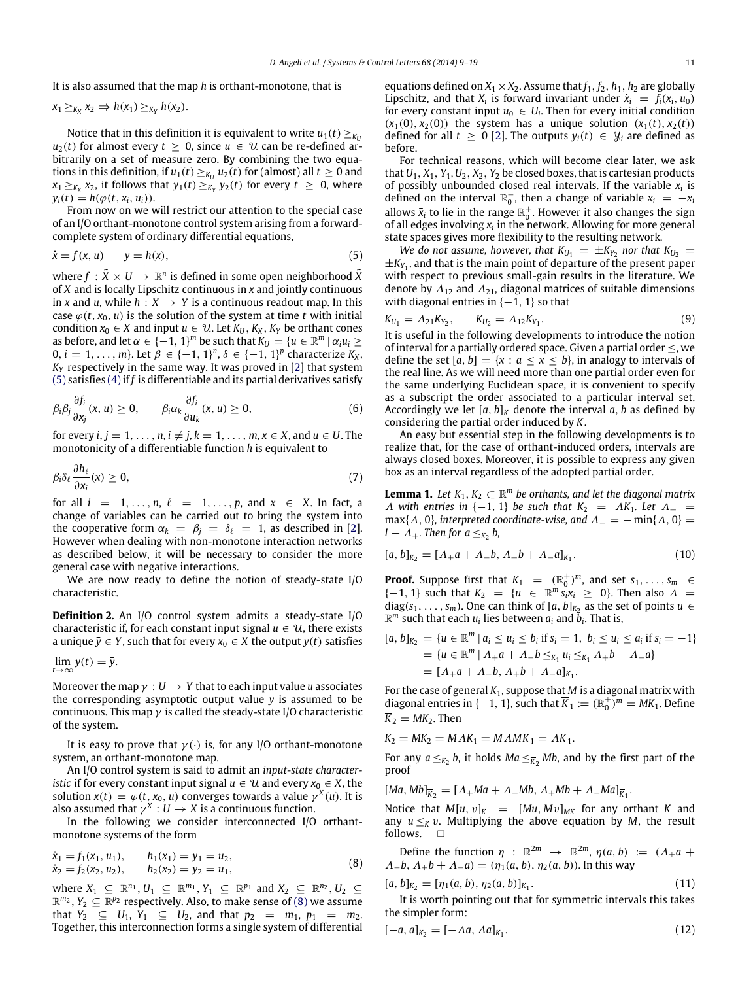It is also assumed that the map *h* is orthant-monotone, that is

$$
x_1 \geq_{K_X} x_2 \Rightarrow h(x_1) \geq_{K_Y} h(x_2).
$$

Notice that in this definition it is equivalent to write  $u_1(t) \geq \frac{K}{L}$  $u_2(t)$  for almost every  $t \geq 0$ , since  $u \in \mathcal{U}$  can be re-defined arbitrarily on a set of measure zero. By combining the two equations in this definition, if  $u_1(t) \geq_{K_U} u_2(t)$  for (almost) all  $t \geq 0$  and  $x_1 \geq_{K_X} x_2$ , it follows that  $y_1(t) \geq_{K_Y} y_2(t)$  for every  $t \geq 0$ , where  $y_i(t) = h(\varphi(t, x_i, u_i)).$ 

From now on we will restrict our attention to the special case of an I/O orthant-monotone control system arising from a forwardcomplete system of ordinary differential equations,

$$
\dot{x} = f(x, u) \qquad y = h(x), \tag{5}
$$

where  $f\,:\tilde X\times U\,\to\,\mathbb{R}^n$  is defined in some open neighborhood  $\tilde X$ of *X* and is locally Lipschitz continuous in *x* and jointly continuous in *x* and *u*, while  $h: X \rightarrow Y$  is a continuous readout map. In this case  $\varphi(t, x_0, u)$  is the solution of the system at time t with initial condition  $x_0 \in X$  and input  $u \in \mathcal{U}$ . Let  $K_U$ ,  $K_X$ ,  $K_Y$  be orthant cones as before, and let  $\alpha \in \{-1, 1\}^m$  be such that  $K_U = \{u \in \mathbb{R}^m \mid \alpha_i u_i \geq 0\}$  $0, i = 1, ..., m$ }. Let  $β ∈ {−1, 1}^n, δ ∈ {−1, 1}^p$  characterize  $K_X$ ,  $K_Y$  respectively in the same way. It was proved in [\[2\]](#page-9-1) that system [\(5\)](#page-2-0) satisfies [\(4\)](#page-1-1)if *f* is differentiable and its partial derivatives satisfy

$$
\beta_i \beta_j \frac{\partial f_i}{\partial x_j}(x, u) \ge 0, \qquad \beta_i \alpha_k \frac{\partial f_i}{\partial u_k}(x, u) \ge 0,
$$
\n(6)

for every  $i, j = 1, \ldots, n, i \neq j, k = 1, \ldots, m, x \in X$ , and  $u \in U$ . The monotonicity of a differentiable function *h* is equivalent to

$$
\beta_i \delta_\ell \frac{\partial h_\ell}{\partial x_i}(x) \ge 0, \tag{7}
$$

for all  $i = 1, \ldots, n, \ell = 1, \ldots, p$ , and  $x \in X$ . In fact, a change of variables can be carried out to bring the system into the cooperative form  $\alpha_k = \beta_j = \delta_\ell = 1$ , as described in [\[2\]](#page-9-1). However when dealing with non-monotone interaction networks as described below, it will be necessary to consider the more general case with negative interactions.

We are now ready to define the notion of steady-state I/O characteristic.

**Definition 2.** An I/O control system admits a steady-state I/O characteristic if, for each constant input signal  $u \in \mathcal{U}$ , there exists a unique  $\bar{y} \in Y$ , such that for every  $x_0 \in X$  the output  $y(t)$  satisfies

$$
\lim_{t\to\infty}y(t)=\bar{y}.
$$

Moreover the map  $\gamma : U \to Y$  that to each input value *u* associates the corresponding asymptotic output value  $\bar{y}$  is assumed to be continuous. This map  $\gamma$  is called the steady-state I/O characteristic of the system.

It is easy to prove that  $\gamma(\cdot)$  is, for any I/O orthant-monotone system, an orthant-monotone map.

An I/O control system is said to admit an *input-state characteristic* if for every constant input signal  $u \in \mathcal{U}$  and every  $x_0 \in X$ , the solution  $x(t) = \varphi(t, x_0, u)$  converges towards a value  $\gamma^X(u)$ . It is also assumed that  $\gamma^X: U \to X$  is a continuous function.

In the following we consider interconnected I/O orthantmonotone systems of the form

$$
\dot{x}_1 = f_1(x_1, u_1), \qquad h_1(x_1) = y_1 = u_2,\n\dot{x}_2 = f_2(x_2, u_2), \qquad h_2(x_2) = y_2 = u_1,
$$
\n(8)

where  $X_1 \subseteq \mathbb{R}^{n_1}, U_1 \subseteq \mathbb{R}^{m_1}, Y_1 \subseteq \mathbb{R}^{p_1}$  and  $X_2 \subseteq \mathbb{R}^{n_2}, U_2 \subseteq$  $\mathbb{R}^{m_2}$ ,  $Y_2 \subseteq \mathbb{R}^{p_2}$  respectively. Also, to make sense of [\(8\)](#page-2-1) we assume that  $Y_2 \subseteq U_1, Y_1 \subseteq U_2$ , and that  $p_2 = m_1, p_1 = m_2$ . Together, this interconnection forms a single system of differential equations defined on  $X_1 \times X_2$ . Assume that  $f_1, f_2, h_1, h_2$  are globally Lipschitz, and that  $X_i$  is forward invariant under  $\dot{x}_i = f_i(x_i, u_0)$ for every constant input  $u_0 \in U_i$ . Then for every initial condition  $(x_1(0), x_2(0))$  the system has a unique solution  $(x_1(t), x_2(t))$ defined for all  $t \geq 0$  [\[2\]](#page-9-1). The outputs  $y_i(t) \in \mathcal{Y}_i$  are defined as before.

For technical reasons, which will become clear later, we ask that  $U_1$ ,  $X_1$ ,  $Y_1$ ,  $U_2$ ,  $X_2$ ,  $Y_2$  be closed boxes, that is cartesian products of possibly unbounded closed real intervals. If the variable  $x_i$  is defined on the interval  $\mathbb{R}^-$ , then a change of variable  $\bar{x}_i = -x_i$ allows  $\bar{x}_i$  to lie in the range  $\mathbb{R}^+_0$ . However it also changes the sign of all edges involving *x<sup>i</sup>* in the network. Allowing for more general state spaces gives more flexibility to the resulting network.

<span id="page-2-0"></span>*We do not assume, however, that*  $K_{U_1} = \pm K_{Y_2}$  *nor that*  $K_{U_2} =$  $\pm K_{Y_1}$ , and that is the main point of departure of the present paper with respect to previous small-gain results in the literature. We denote by  $\Lambda_{12}$  and  $\Lambda_{21}$ , diagonal matrices of suitable dimensions with diagonal entries in  $\{-1, 1\}$  so that

<span id="page-2-2"></span>
$$
K_{U_1} = \Lambda_{21} K_{Y_2}, \qquad K_{U_2} = \Lambda_{12} K_{Y_1}.
$$
\n(9)

It is useful in the following developments to introduce the notion of interval for a partially ordered space. Given a partial order  $\leq$ , we define the set  $[a, b] = \{x : a \le x \le b\}$ , in analogy to intervals of the real line. As we will need more than one partial order even for the same underlying Euclidean space, it is convenient to specify as a subscript the order associated to a particular interval set. Accordingly we let  $[a, b]_K$  denote the interval  $a, b$  as defined by considering the partial order induced by *K*.

<span id="page-2-5"></span>An easy but essential step in the following developments is to realize that, for the case of orthant-induced orders, intervals are always closed boxes. Moreover, it is possible to express any given box as an interval regardless of the adopted partial order.

<span id="page-2-6"></span><span id="page-2-4"></span>**Lemma 1.** Let  $K_1, K_2 \subset \mathbb{R}^m$  be orthants, and let the diagonal matrix  $\Lambda$  with entries in {-1, 1} be such that  $K_2 = \Lambda K_1$ . Let  $\Lambda_+$  = max{ $\Lambda$ , 0}*, interpreted coordinate-wise, and*  $\Lambda$ <sub>-</sub> = − min{ $\Lambda$ , 0} =  $I - A_+$ *. Then for a*  $\leq K_2$  *b*,

$$
[a, b]_{K_2} = [\Lambda_+ a + \Lambda_- b, \Lambda_+ b + \Lambda_- a]_{K_1}.
$$
 (10)

**Proof.** Suppose first that  $K_1 = (\mathbb{R}_0^+)^m$ , and set  $s_1, \ldots, s_m \in$  ${-1, 1}$  such that  $K_2 = \{u \in \mathbb{R}^m s_i x_i \ge 0\}$ . Then also  $\Lambda =$ diag( $s_1, \ldots, s_m$ ). One can think of [ $a, b$ ]<sub> $K_2$ </sub> as the set of points  $u \in$  $\mathbb{R}^m$  such that each  $u_i$  lies between  $a_i$  and  $\tilde{b}_i$ . That is,

$$
[a, b]_{K_2} = \{u \in \mathbb{R}^m | a_i \le u_i \le b_i \text{ if } s_i = 1, b_i \le u_i \le a_i \text{ if } s_i = -1\}
$$
  
= 
$$
\{u \in \mathbb{R}^m | A_+a + A_-b \le_{K_1} u_i \le_{K_1} A_+b + A_-a\}
$$
  
= 
$$
[A_+a + A_-b, A_+b + A_-a]_{K_1}.
$$

For the case of general *K*1, suppose that *M* is a diagonal matrix with diagonal entries in { $-1$ , 1}, such that  $\overline{K}_1 := (\mathbb{R}_0^+)^m = MK_1$ . Define  $\overline{K}_2 = MK_2$ . Then

 $\overline{K_2} = MK_2 = MAX_1 = MAN\overline{K_1} = \overline{AK_1}$ 

For any  $a \leq_{K_2} b$ , it holds  $Ma \leq_{\overline{K}_2} Mb$ , and by the first part of the proof

 $[Ma, Mb]_{\overline{K}_2} = [A_+Ma + A_-Mb, A_+Mb + A_-Ma]_{\overline{K}_1}.$ 

Notice that  $M[u, v]_K = [Mu, Mv]_{MK}$  for any orthant *K* and any  $u \leq_K v$ . Multiplying the above equation by *M*, the result follows. follows.

<span id="page-2-1"></span>Define the function  $\eta$  :  $\mathbb{R}^{2m} \to \mathbb{R}^{2m}$ ,  $\eta(a, b) := (\Lambda_+ a +$  $\Lambda$ <sub>−</sub>*b*,  $\Lambda$ <sub>+</sub>*b* +  $\Lambda$ −*a*) = ( $\eta_1$ (*a*, *b*),  $\eta_2$ (*a*, *b*)). In this way

<span id="page-2-3"></span>
$$
[a, b]_{K_2} = [\eta_1(a, b), \eta_2(a, b)]_{K_1}.
$$
\n(11)

It is worth pointing out that for symmetric intervals this takes the simpler form:

<span id="page-2-7"></span>
$$
[-a, a]_{K_2} = [-\Lambda a, \Lambda a]_{K_1}.
$$
 (12)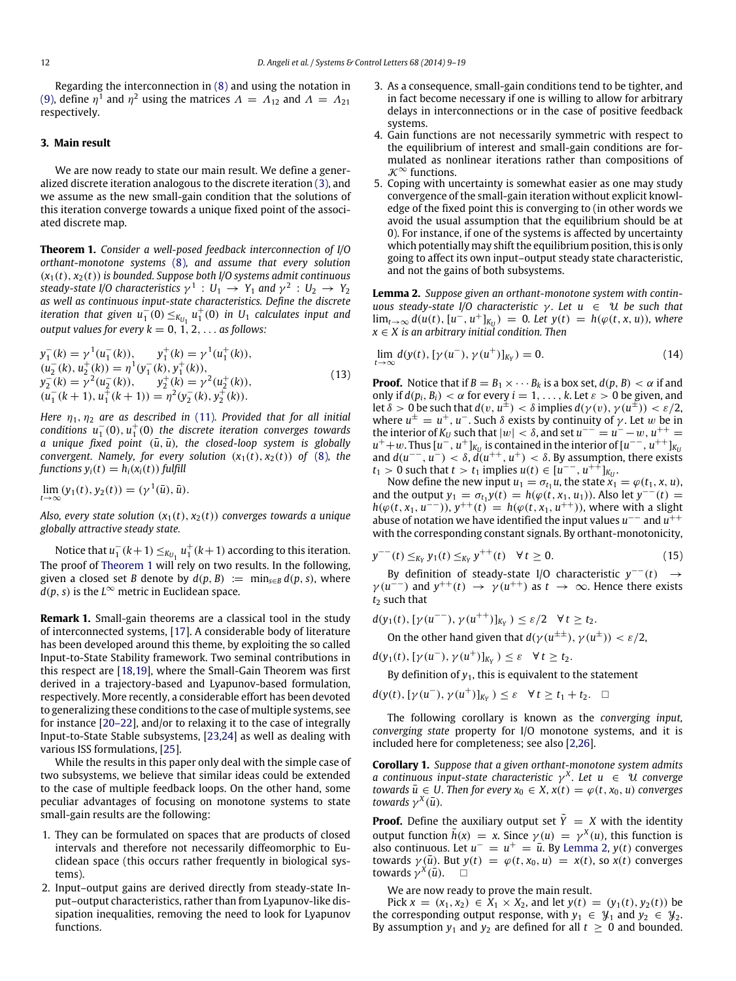Regarding the interconnection in [\(8\)](#page-2-1) and using the notation in [\(9\),](#page-2-2) define  $\eta^1$  and  $\eta^2$  using the matrices  $\Lambda = \Lambda_{12}$  and  $\Lambda = \Lambda_{21}$ respectively.

# **3. Main result**

We are now ready to state our main result. We define a generalized discrete iteration analogous to the discrete iteration [\(3\),](#page-1-0) and we assume as the new small-gain condition that the solutions of this iteration converge towards a unique fixed point of the associated discrete map.

<span id="page-3-1"></span>**Theorem 1.** *Consider a well-posed feedback interconnection of I/O orthant-monotone systems* [\(8\)](#page-2-1)*, and assume that every solution* (*x*1(*t*), *x*2(*t*)) *is bounded. Suppose both I/O systems admit continuous* steady-state I/O characteristics  $\gamma^1: U_1 \rightarrow Y_1$  and  $\gamma^2: U_2 \rightarrow Y_2$ *as well as continuous input-state characteristics. Define the discrete iteration that given*  $u_1^-(0) \leq K_{U_1} u_1^+(0)$  *in U*<sub>1</sub> *calculates input and output values for every*  $k = 0, 1, 2, \ldots$  *as follows:* 

$$
y_1^-(k) = \gamma^1(u_1^-(k)), \qquad y_1^+(k) = \gamma^1(u_1^+(k)),
$$
  
\n
$$
(u_2^-(k), u_2^+(k)) = \eta^1(y_1^-(k), y_1^+(k)),
$$
  
\n
$$
y_2^-(k) = \gamma^2(u_2^-(k)), \qquad y_2^+(k) = \gamma^2(u_2^+(k)),
$$
  
\n
$$
(u_1^-(k+1), u_1^+(k+1)) = \eta^2(y_2^-(k), y_2^+(k)).
$$
\n(13)

*Here*  $\eta_1$ ,  $\eta_2$  *are as described in* [\(11\)](#page-2-3)*. Provided that for all initial*  $\arctan u_1^-(0)$ ,  $u_1^+(0)$  the discrete iteration converges towards *a* unique fixed point  $(\bar{u}, \bar{u})$ , the closed-loop system is globally *convergent. Namely, for every solution*  $(x_1(t), x_2(t))$  *of* [\(8\)](#page-2-1)*, the functions*  $y_i(t) = h_i(x_i(t))$  *fulfill* 

$$
\lim_{t\to\infty}(y_1(t),y_2(t))=(\gamma^1(\bar{u}),\bar{u}).
$$

*Also, every state solution*  $(x_1(t), x_2(t))$  *converges towards a unique globally attractive steady state.*

Notice that  $u_1^-(k+1) \leq_{K_{U_1}} u_1^+(k+1)$  according to this iteration. The proof of [Theorem 1](#page-3-1) will rely on two results. In the following, given a closed set *B* denote by  $d(p, B) := \min_{s \in B} d(p, s)$ , where  $\overline{d}(p, s)$  is the  $L^\infty$  metric in Euclidean space.

**Remark 1.** Small-gain theorems are a classical tool in the study of interconnected systems, [\[17\]](#page-10-9). A considerable body of literature has been developed around this theme, by exploiting the so called Input-to-State Stability framework. Two seminal contributions in this respect are [\[18](#page-10-10)[,19\]](#page-10-11), where the Small-Gain Theorem was first derived in a trajectory-based and Lyapunov-based formulation, respectively. More recently, a considerable effort has been devoted to generalizing these conditions to the case of multiple systems, see for instance [\[20–22\]](#page-10-12), and/or to relaxing it to the case of integrally Input-to-State Stable subsystems, [\[23](#page-10-13)[,24\]](#page-10-14) as well as dealing with various ISS formulations, [\[25\]](#page-10-15).

While the results in this paper only deal with the simple case of two subsystems, we believe that similar ideas could be extended to the case of multiple feedback loops. On the other hand, some peculiar advantages of focusing on monotone systems to state small-gain results are the following:

- 1. They can be formulated on spaces that are products of closed intervals and therefore not necessarily diffeomorphic to Euclidean space (this occurs rather frequently in biological systems).
- 2. Input–output gains are derived directly from steady-state Input–output characteristics, rather than from Lyapunov-like dissipation inequalities, removing the need to look for Lyapunov functions.
- 3. As a consequence, small-gain conditions tend to be tighter, and in fact become necessary if one is willing to allow for arbitrary delays in interconnections or in the case of positive feedback systems.
- 4. Gain functions are not necessarily symmetric with respect to the equilibrium of interest and small-gain conditions are formulated as nonlinear iterations rather than compositions of  $\mathcal{K}^{\infty}$  functions.
- 5. Coping with uncertainty is somewhat easier as one may study convergence of the small-gain iteration without explicit knowledge of the fixed point this is converging to (in other words we avoid the usual assumption that the equilibrium should be at 0). For instance, if one of the systems is affected by uncertainty which potentially may shift the equilibrium position, this is only going to affect its own input–output steady state characteristic, and not the gains of both subsystems.

<span id="page-3-0"></span>**Lemma 2.** *Suppose given an orthant-monotone system with continuous steady-state I/O characteristic γ. Let u* ∈ U *be such that*  $\lim_{t\to\infty} d(u(t), [u^-, u^+]_{K_U}) = 0$ *. Let*  $y(t) = h(\varphi(t, x, u))$ *, where x* ∈ *X is an arbitrary initial condition. Then*

<span id="page-3-2"></span>
$$
\lim_{t \to \infty} d(y(t), [\gamma(u^-), \gamma(u^+)]_{K_Y}) = 0.
$$
\n(14)

**Proof.** Notice that if  $B = B_1 \times \cdots B_k$  is a box set,  $d(p, B) < \alpha$  if and only if  $d(p_i, B_i) < \alpha$  for every  $i = 1, \ldots, k$ . Let  $\varepsilon > 0$  be given, and let  $\delta > 0$  be such that  $d(v, u^{\pm}) < \delta$  implies  $d(\gamma(v), \gamma(u^{\pm})) < \varepsilon/2$ , where  $u^{\pm} = u^+$ ,  $u^-$ . Such  $\delta$  exists by continuity of  $\gamma$ . Let w be in the interior of  $K_U$  such that  $|w| < \delta$ , and set  $u^{-\delta} = u^{-\delta} - w$ ,  $u^{++} =$  $u^+ + w$ . Thus  $[u^-, u^+]_{K_U}$  is contained in the interior of  $[u^{--}, u^{++}]_{K_U}$ and  $d(u^{\text{-} -}, u^{\text{-}}) < \delta$ ,  $d(u^{\text{++}}, u^{\text{+}}) < \delta$ . By assumption, there exists  $t_1 > 0$  such that  $t > t_1$  implies  $u(t) \in [u^{--}, u^{++}]_{K_U}$ .<br>Now define the new input  $u_1 = \sigma_{t_1} u$ , the state  $x_1 = \varphi(t_1, x, u)$ ,

and the output  $y_1 = \sigma_{t_1} y(t) = h(\varphi(t, x_1, u_1))$ . Also let  $y^{-1}(t) =$ *h*( $\varphi$ (*t*, *x*<sub>1</sub>, *u*<sup>--</sup>)), *y*<sup>++</sup>(*t*) = *h*( $\varphi$ (*t*, *x*<sub>1</sub>, *u*<sup>++</sup>)), where with a slight abuse of notation we have identified the input values *u*<sup>−−</sup> and *u*<sup>++</sup> with the corresponding constant signals. By orthant-monotonicity,

$$
y^{--}(t) \leq_{K_Y} y_1(t) \leq_{K_Y} y^{++}(t) \quad \forall \, t \geq 0. \tag{15}
$$

By definition of steady-state I/O characteristic  $y^{--}(t) \rightarrow$  $\gamma(u^{-1})$  and  $y^{++}(t) \rightarrow \gamma(u^{++})$  as  $t \rightarrow \infty$ . Hence there exists *t*<sup>2</sup> such that

*d*(*y*<sub>1</sub>(*t*), [*γ*(*u*<sup>-−</sup>), *γ*(*u*<sup>++</sup>)]<sub>*KY*</sub> ) ≤ ε/2 ∀*t* ≥ *t*<sub>2</sub>.

On the other hand given that  $d(\gamma(u^{\pm \pm}), \gamma(u^{\pm})) < \varepsilon/2$ ,

 $d(y_1(t), [\gamma(u^-), \gamma(u^+)]_{K_Y}) \leq \varepsilon \quad \forall t \geq t_2.$ 

By definition of  $y_1$ , this is equivalent to the statement

*d*(*y*(*t*), [*γ*(*u*<sup>−</sup>), *γ*(*u*<sup>+</sup>)]<sub>*KY*</sub> ) ≤  $\varepsilon$  ∀*t* ≥ *t*<sub>1</sub> + *t*<sub>2</sub>. □

The following corollary is known as the *converging input, converging state* property for I/O monotone systems, and it is included here for completeness; see also [\[2,](#page-9-1)[26\]](#page-10-16).

<span id="page-3-3"></span>**Corollary 1.** *Suppose that a given orthant-monotone system admits a* continuous input-state characteristic  $\gamma^X$ . Let  $u \in \mathcal{U}$  converge *towards*  $\bar{u} \in U$ . Then for every  $x_0 \in X$ ,  $x(t) = \varphi(t, x_0, u)$  converges *towards*  $\gamma^X(\bar{u})$ *.* 

**Proof.** Define the auxiliary output set  $\tilde{Y} = X$  with the identity output function  $\tilde{h}(x) = x$ . Since  $\gamma(u) = \gamma^X(u)$ , this function is also continuous. Let  $u^- = u^+ = \overline{u}$ . By [Lemma 2,](#page-3-0)  $y(t)$  converges towards  $\gamma(\bar{u})$ . But  $y(t) = \varphi(t, x_0, u) = x(t)$ , so  $x(t)$  converges towards  $\gamma^X(\bar{u})$ . □

We are now ready to prove the main result.

Pick *x* = (*x*<sub>1</sub>, *x*<sub>2</sub>) ∈ *X*<sub>1</sub> × *X*<sub>2</sub>, and let *y*(*t*) = (*y*<sub>1</sub>(*t*), *y*<sub>2</sub>(*t*)) be the corresponding output response, with  $y_1 \in \mathcal{Y}_1$  and  $y_2 \in \mathcal{Y}_2$ . By assumption  $y_1$  and  $y_2$  are defined for all  $t \geq 0$  and bounded.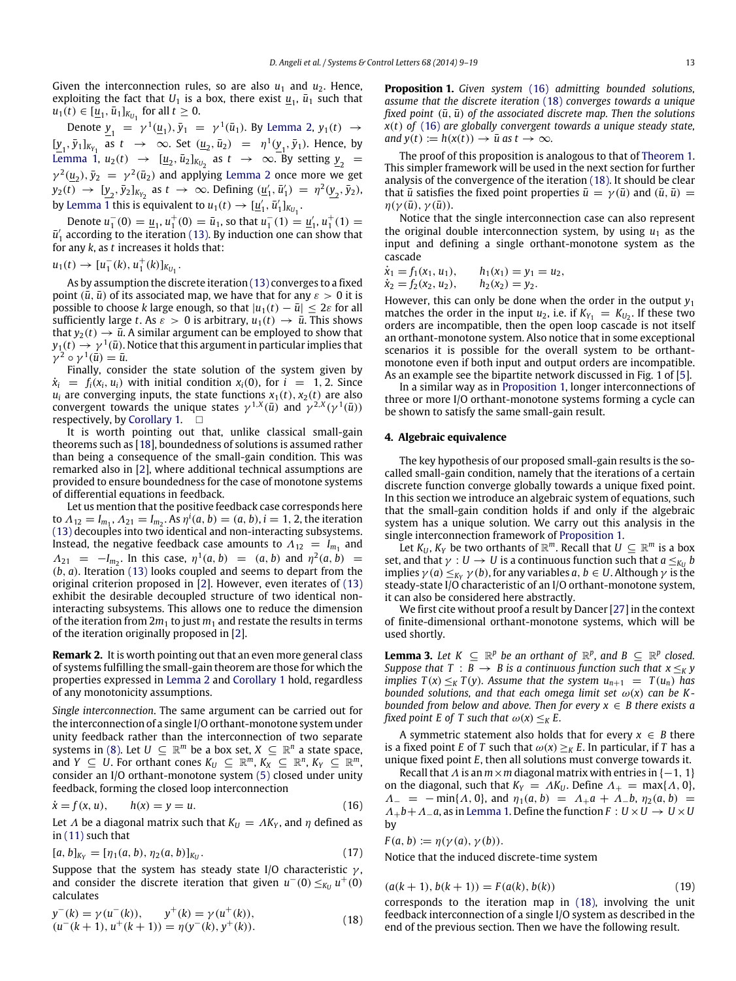Given the interconnection rules, so are also  $u_1$  and  $u_2$ . Hence, exploiting the fact that  $U_1$  is a box, there exist  $\underline{u}_1$ ,  $\overline{u}_1$  such that  $u_1(t) \in [\underline{u}_1, \overline{u}_1]_{K_{U_1}}$  for all  $t \geq 0$ .

Denote  $\underline{y}_1 = \gamma^1(\underline{u}_1), \overline{y}_1 = \gamma^1(\overline{u}_1)$ . By [Lemma 2,](#page-3-0)  $y_1(t) \rightarrow$  $[\underline{y}_1, \bar{y}_1]_{K_{Y_1}}$  as  $t \to \infty$ . Set  $(\underline{u}_2, \bar{u}_2) = \eta^1(\underline{y}_1, \bar{y}_1)$ . Hence, by [Lemma 1,](#page-2-4)  $u_2(t) \rightarrow [\underline{u}_2, \overline{u}_2]_{K_{U_2}}$  as  $t \rightarrow \infty$ . By setting  $\underline{y}_2 =$  $\gamma^2(\underline{u}_2), \bar{y}_2 = \gamma^2(\bar{u}_2)$  and applying [Lemma 2](#page-3-0) once more we get  $y_2(t) \to [y_2, \bar{y}_2]_{K_{Y_2}}$  as  $t \to \infty$ . Defining  $(\underline{u}'_1, \bar{u}'_1) = \eta^2(\underline{y}_2, \bar{y}_2)$ , by [Lemma 1](#page-2-4) this is equivalent to  $u_1(t) \to [\underline{u}'_1, \overline{u}'_1]_{K_{U_1}}$ .

Denote  $u_1^-(0) = \underline{u}_1, u_1^+(0) = \overline{u}_1$ , so that  $u_1^-(1) = \underline{u}'_1, u_1^+(1) =$  $\bar{u}'_1$  according to the iteration [\(13\).](#page-3-2) By induction one can show that for any *k*, as *t* increases it holds that:

$$
u_1(t) \to [u_1^-(k), u_1^+(k)]_{K_{U_1}}.
$$

As by assumption the discrete iteration [\(13\)](#page-3-2) converges to a fixed point  $(\bar{u}, \bar{u})$  of its associated map, we have that for any  $\varepsilon > 0$  it is possible to choose *k* large enough, so that  $|u_1(t) - \bar{u}| \leq 2\varepsilon$  for all sufficiently large *t*. As  $\varepsilon > 0$  is arbitrary,  $u_1(t) \rightarrow \bar{u}$ . This shows that  $y_2(t) \rightarrow \bar{u}$ . A similar argument can be employed to show that  $y_1(t) \to \gamma^{\, 1}(\bar u).$  Notice that this argument in particular implies that  $\gamma^2 \circ \gamma^1(\bar{u}) = \bar{u}.$ 

Finally, consider the state solution of the system given by  $\dot{x}_i = f_i(x_i, u_i)$  with initial condition  $x_i(0)$ , for  $i = 1, 2$ . Since  $u_i$  are converging inputs, the state functions  $x_1(t)$ ,  $x_2(t)$  are also convergent towards the unique states  $\gamma^{1,X}(\bar{u})$  and  $\gamma^{2,X}(\gamma^1(\bar{u}))$ respectively, by [Corollary 1.](#page-3-3)  $\square$ 

It is worth pointing out that, unlike classical small-gain theorems such as [\[18\]](#page-10-10), boundedness of solutions is assumed rather than being a consequence of the small-gain condition. This was remarked also in [\[2\]](#page-9-1), where additional technical assumptions are provided to ensure boundedness for the case of monotone systems of differential equations in feedback.

Let us mention that the positive feedback case corresponds here to  $\Lambda_{12} = I_{m_1}, \Lambda_{21} = I_{m_2}.$  As  $\eta^i(a, b) = (a, b), i = 1, 2$ , the iteration [\(13\)](#page-3-2) decouples into two identical and non-interacting subsystems. Instead, the negative feedback case amounts to  $\Lambda_{12} = I_{m_1}$  and  $\Lambda_{21} = -I_{m_2}$ . In this case,  $\eta^1(a, b) = (a, b)$  and  $\eta^2(a, b) =$ (*b*, *a*). Iteration [\(13\)](#page-3-2) looks coupled and seems to depart from the original criterion proposed in [\[2\]](#page-9-1). However, even iterates of [\(13\)](#page-3-2) exhibit the desirable decoupled structure of two identical noninteracting subsystems. This allows one to reduce the dimension of the iteration from  $2m_1$  to just  $m_1$  and restate the results in terms of the iteration originally proposed in [\[2\]](#page-9-1).

**Remark 2.** It is worth pointing out that an even more general class of systems fulfilling the small-gain theorem are those for which the properties expressed in [Lemma 2](#page-3-0) and [Corollary 1](#page-3-3) hold, regardless of any monotonicity assumptions.

*Single interconnection*. The same argument can be carried out for the interconnection of a single I/O orthant-monotone system under unity feedback rather than the interconnection of two separate systems in [\(8\).](#page-2-1) Let  $U \subseteq \mathbb{R}^m$  be a box set,  $X \subseteq \mathbb{R}^n$  a state space, and *Y*  $\subseteq U$ . For orthant cones  $K_U \subseteq \mathbb{R}^m$ ,  $K_X \subseteq \mathbb{R}^n$ ,  $K_Y \subseteq \mathbb{R}^m$ , consider an I/O orthant-monotone system [\(5\)](#page-2-0) closed under unity feedback, forming the closed loop interconnection

$$
\dot{x} = f(x, u), \qquad h(x) = y = u.
$$
\n(16)

Let  $\Lambda$  be a diagonal matrix such that  $K_U = \Lambda K_Y$ , and  $\eta$  defined as in [\(11\)](#page-2-3) such that

$$
[a, b]_{K_Y} = [\eta_1(a, b), \eta_2(a, b)]_{K_U}.
$$
\n(17)

Suppose that the system has steady state I/O characteristic  $\gamma$ , and consider the discrete iteration that given  $u^-(0) \leq_{K_U} u^+(0)$ calculates

$$
y^{-}(k) = \gamma(u^{-}(k)), \qquad y^{+}(k) = \gamma(u^{+}(k)),
$$
  
\n
$$
(u^{-}(k+1), u^{+}(k+1)) = \eta(y^{-}(k), y^{+}(k)).
$$
\n(18)

<span id="page-4-2"></span>**Proposition 1.** *Given system* [\(16\)](#page-4-0) *admitting bounded solutions, assume that the discrete iteration* [\(18\)](#page-4-1) *converges towards a unique fixed point*  $(\bar{u}, \bar{u})$  *of the associated discrete map. Then the solutions x*(*t*) *of* [\(16\)](#page-4-0) *are globally convergent towards a unique steady state, and*  $y(t) := h(x(t)) \rightarrow \bar{u}$  *as*  $t \rightarrow \infty$ *.* 

The proof of this proposition is analogous to that of [Theorem 1.](#page-3-1) This simpler framework will be used in the next section for further analysis of the convergence of the iteration [\(18\).](#page-4-1) It should be clear that  $\bar{u}$  satisfies the fixed point properties  $\bar{u} = \gamma(\bar{u})$  and  $(\bar{u}, \bar{u}) =$  $\eta(\gamma(\bar{u}), \gamma(\bar{u})).$ 

Notice that the single interconnection case can also represent the original double interconnection system, by using  $u_1$  as the input and defining a single orthant-monotone system as the cascade

$$
\dot{x}_1 = f_1(x_1, u_1), \qquad h_1(x_1) = y_1 = u_2, \n\dot{x}_2 = f_2(x_2, u_2), \qquad h_2(x_2) = y_2.
$$

However, this can only be done when the order in the output  $y_1$ matches the order in the input  $u_2$ , i.e. if  $K_{Y_1} = K_{U_2}$ . If these two orders are incompatible, then the open loop cascade is not itself an orthant-monotone system. Also notice that in some exceptional scenarios it is possible for the overall system to be orthantmonotone even if both input and output orders are incompatible. As an example see the bipartite network discussed in Fig. 1 of [\[5\]](#page-9-4).

In a similar way as in [Proposition 1,](#page-4-2) longer interconnections of three or more I/O orthant-monotone systems forming a cycle can be shown to satisfy the same small-gain result.

# **4. Algebraic equivalence**

The key hypothesis of our proposed small-gain results is the socalled small-gain condition, namely that the iterations of a certain discrete function converge globally towards a unique fixed point. In this section we introduce an algebraic system of equations, such that the small-gain condition holds if and only if the algebraic system has a unique solution. We carry out this analysis in the single interconnection framework of [Proposition 1.](#page-4-2)

Let  $K_U$ ,  $K_Y$  be two orthants of  $\mathbb{R}^m$ . Recall that  $U \subseteq \mathbb{R}^m$  is a box set, and that  $\gamma: U \to U$  is a continuous function such that  $a \leq_{K_U} b$ implies  $\gamma$  (*a*)  $\leq_{K_Y} \gamma$  (*b*), for any variables *a*, *b*  $\in U$ . Although  $\gamma$  is the steady-state I/O characteristic of an I/O orthant-monotone system, it can also be considered here abstractly.

We first cite without proof a result by Dancer [\[27\]](#page-10-17) in the context of finite-dimensional orthant-monotone systems, which will be used shortly.

<span id="page-4-4"></span>**Lemma 3.** Let  $K \subseteq \mathbb{R}^p$  be an orthant of  $\mathbb{R}^p$ , and  $B \subseteq \mathbb{R}^p$  closed. *Suppose that*  $T : B \rightarrow B$  *is a continuous function such that*  $x \leq_K y$ *implies*  $T(x) \leq_K T(y)$ *. Assume that the system*  $u_{n+1} = T(u_n)$  *has bounded solutions, and that each omega limit set*  $\omega(x)$  *can be Kbounded from below and above. Then for every x* ∈ *B there exists a fixed point E of T such that*  $\omega(x) \leq_K E$ .

A symmetric statement also holds that for every  $x \in B$  there is a fixed point *E* of *T* such that  $\omega(x) \geq_K E$ . In particular, if *T* has a unique fixed point *E*, then all solutions must converge towards it.

<span id="page-4-0"></span>Recall that  $\Lambda$  is an  $m \times m$  diagonal matrix with entries in  $\{-1, 1\}$ on the diagonal, such that  $K_Y = AK_U$ . Define  $\Lambda_+ = \max\{\Lambda, 0\}$ ,  $\Lambda_{-}$  =  $-\min\{\Lambda, 0\}$ , and  $\eta_1(a, b)$  =  $\Lambda_{+}a + \Lambda_{-}b$ ,  $\eta_2(a, b)$  =  $\Lambda_+ b + \Lambda_- a$ , as in [Lemma 1.](#page-2-4) Define the function  $F : U \times U \rightarrow U \times U$ by

$$
F(a, b) := \eta(\gamma(a), \gamma(b)).
$$

<span id="page-4-3"></span>Notice that the induced discrete-time system

$$
(a(k + 1), b(k + 1)) = F(a(k), b(k))
$$
\n(19)

<span id="page-4-1"></span>corresponds to the iteration map in [\(18\),](#page-4-1) involving the unit feedback interconnection of a single I/O system as described in the end of the previous section. Then we have the following result.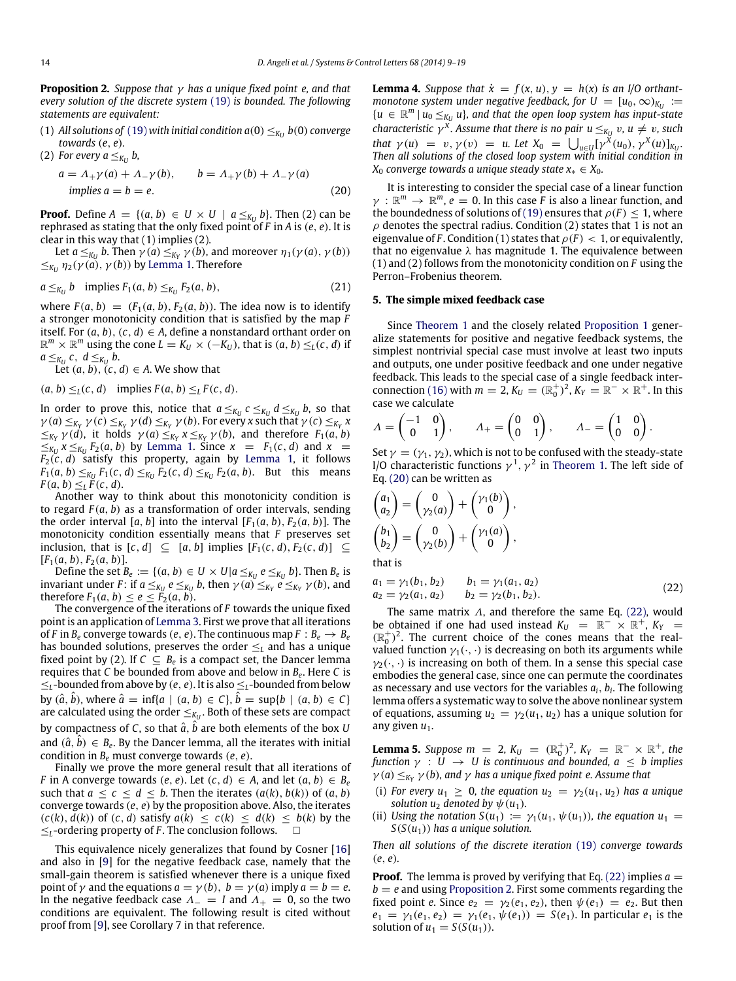<span id="page-5-2"></span>**Proposition 2.** *Suppose that* γ *has a unique fixed point e, and that every solution of the discrete system* [\(19\)](#page-4-3) *is bounded. The following statements are equivalent:*

- (1) All solutions of [\(19\)](#page-4-3) with initial condition  $a(0) \leq_{K_U} b(0)$  converge *towards* (*e*, *e*)*.*
- (2) For every  $a \leq_{K_U} b$ ,

$$
a = \Lambda_+ \gamma(a) + \Lambda_- \gamma(b), \qquad b = \Lambda_+ \gamma(b) + \Lambda_- \gamma(a)
$$
  
implies  $a = b = e.$  (20)

**Proof.** Define  $A = \{(a, b) \in U \times U \mid a \leq_{K_U} b\}$ . Then (2) can be rephrased as stating that the only fixed point of *F* in *A* is (*e*, *e*). It is clear in this way that (1) implies (2).

Let *a*  $\leq_{K_U}$  *b*. Then  $\gamma$  (*a*)  $\leq_{K_Y} \gamma$  (*b*), and moreover  $\eta_1(\gamma(a), \gamma(b))$  $≤<sub>KU</sub>$  η<sub>2</sub>(γ(*a*), γ(*b*)) by [Lemma 1.](#page-2-4) Therefore

$$
a \leq_{K_U} b \quad \text{implies } F_1(a, b) \leq_{K_U} F_2(a, b), \tag{21}
$$

where  $F(a, b) = (F_1(a, b), F_2(a, b))$ . The idea now is to identify a stronger monotonicity condition that is satisfied by the map *F* itself. For  $(a, b)$ ,  $(c, d) \in A$ , define a nonstandard orthant order on  $\mathbb{R}^m \times \mathbb{R}^m$  using the cone  $L = K_U \times (-K_U)$ , that is  $(a, b) \leq_L (c, d)$  if  $a \leq_{K_U} c, d \leq_{K_U} b.$ 

Let  $(a, b)$ ,  $(c, d) \in A$ . We show that

$$
(a, b) \leq_L (c, d) \quad \text{implies } F(a, b) \leq_L F(c, d).
$$

In order to prove this, notice that  $a \leq_{K_U} c \leq_{K_U} d \leq_{K_U} b$ , so that  $\gamma$  (*a*)  $\leq_{K_Y} \gamma$  (*c*)  $\leq_{K_Y} \gamma$  (*d*)  $\leq_{K_Y} \gamma$  (*b*). For every *x* such that  $\gamma$  (*c*)  $\leq_{K_Y} x$  $\leq$ <sub>*KY</sub>*  $\gamma$  (*d*), it holds  $\gamma$  (*a*)  $\leq$ <sub>*KY*</sub>  $x \leq$ <sub>*KY*</sub>  $\gamma$  (*b*), and therefore *F*<sub>1</sub>(*a*, *b*)</sub>  $\leq$ *K*<sub>*U*</sub>  $x \leq$ *K*<sub>*U*</sub>  $F_2(a, b)$  by [Lemma 1.](#page-2-4) Since  $x = F_1(c, d)$  and  $x =$  $F_2(c, d)$  satisfy this property, again by [Lemma 1,](#page-2-4) it follows *F*<sub>1</sub>(*a*, *b*)  $\leq$ <sub>*KU*</sub> *F*<sub>1</sub>(*c*, *d*)  $\leq$ <sub>*K<sub>U</sub>*</sub> *F*<sub>2</sub>(*a*, *b*). But this means  $F(a, b) \leq_L \tilde{F}(c, d).$ 

Another way to think about this monotonicity condition is to regard *F* (*a*, *b*) as a transformation of order intervals, sending the order interval [a, b] into the interval  $[F_1(a, b), F_2(a, b)]$ . The monotonicity condition essentially means that *F* preserves set inclusion, that is  $[c, d]$  ⊆  $[a, b]$  implies  $[F_1(c, d), F_2(c, d)]$  ⊆  $[F_1(a, b), F_2(a, b)].$ 

Define the set  $B_e := \{(a, b) \in U \times U | a \leq_{K_U} e \leq_{K_U} b\}$ . Then  $B_e$  is invariant under *F*: if  $a \leq_{K_U} e \leq_{K_U} b$ , then  $\gamma(a) \leq_{K_Y} e \leq_{K_Y} \gamma(b)$ , and therefore  $F_1(a, b) \leq e \leq F_2(a, b)$ .

The convergence of the iterations of *F* towards the unique fixed point is an application of [Lemma 3.](#page-4-4) First we prove that all iterations of *F* in  $B_e$  converge towards (*e*, *e*). The continuous map  $F : B_e \to B_e$ has bounded solutions, preserves the order ≤*<sup>L</sup>* and has a unique fixed point by (2). If  $C \subseteq B_e$  is a compact set, the Dancer lemma requires that *C* be bounded from above and below in *B<sup>e</sup>* . Here *C* is ≤*L*-bounded from above by (*e*, *e*). It is also ≤*L*-bounded from below by  $(\hat{a}, \hat{b})$ , where  $\hat{a} = \inf\{a \mid (a, b) \in C\}, \hat{b} = \sup\{b \mid (a, b) \in C\}$ are calculated using the order  $\leq_{K_U}$ . Both of these sets are compact by compactness of  $C$ , so that  $\hat{a}$ ,  $\hat{b}$  are both elements of the box  $U$ and  $(\hat{a}, \hat{b}) \in B_e$ . By the Dancer lemma, all the iterates with initial condition in *B<sup>e</sup>* must converge towards (*e*, *e*).

Finally we prove the more general result that all iterations of *F* in A converge towards (*e*, *e*). Let  $(c, d) \in A$ , and let  $(a, b) \in B_e$ such that  $a \leq c \leq d \leq b$ . Then the iterates  $(a(k), b(k))$  of  $(a, b)$ converge towards (*e*, *e*) by the proposition above. Also, the iterates  $(c(k), d(k))$  of  $(c, d)$  satisfy  $a(k) \leq c(k) \leq d(k) \leq b(k)$  by the ≤*L*-ordering property of *F* . The conclusion follows.

This equivalence nicely generalizes that found by Cosner [\[16\]](#page-10-8) and also in [\[9\]](#page-10-0) for the negative feedback case, namely that the small-gain theorem is satisfied whenever there is a unique fixed point of  $\gamma$  and the equations  $a = \gamma(b)$ ,  $b = \gamma(a)$  imply  $a = b = e$ . In the negative feedback case  $\Lambda_- = I$  and  $\Lambda_+ = 0$ , so the two conditions are equivalent. The following result is cited without proof from [\[9\]](#page-10-0), see Corollary 7 in that reference.

**Lemma 4.** *Suppose that*  $\dot{x} = f(x, u), y = h(x)$  *is an I/O orthantmonotone system under negative feedback, for*  $U = [u_0, \infty)_{K_U} :=$  ${u \in \mathbb{R}^m \mid u_0 \leq_{K_U} u}$ , and that the open loop system has input-state *characteristic*  $\gamma^X$ *. Assume that there is no pair*  $u \leq_{K_U} v$ *,*  $u \neq v$ *, such that*  $\gamma(u) = v, \gamma(v) = u$ . Let  $X_0 = \bigcup_{u \in U} [\gamma^X(u_0), \gamma^X(u)]_{K_U}$ . *Then all solutions of the closed loop system with initial condition in X*<sup>0</sup> *converge towards a unique steady state x*<sup>∗</sup> ∈ *X*0*.*

<span id="page-5-0"></span>It is interesting to consider the special case of a linear function  $\gamma$  :  $\mathbb{R}^m \to \mathbb{R}^m$ ,  $e = 0$ . In this case *F* is also a linear function, and the boundedness of solutions of [\(19\)](#page-4-3) ensures that  $\rho(F) \leq 1$ , where  $\rho$  denotes the spectral radius. Condition (2) states that 1 is not an eigenvalue of *F*. Condition (1) states that  $\rho(F) < 1$ , or equivalently, that no eigenvalue  $\lambda$  has magnitude 1. The equivalence between (1) and (2) follows from the monotonicity condition on *F* using the Perron–Frobenius theorem.

# **5. The simple mixed feedback case**

Since [Theorem 1](#page-3-1) and the closely related [Proposition 1](#page-4-2) generalize statements for positive and negative feedback systems, the simplest nontrivial special case must involve at least two inputs and outputs, one under positive feedback and one under negative feedback. This leads to the special case of a single feedback inter-connection [\(16\)](#page-4-0) with  $m = 2$ ,  $K_U = (\mathbb{R}_0^+)^2$ ,  $K_Y = \mathbb{R}^- \times \mathbb{R}^+$ . In this case we calculate

$$
\Lambda = \begin{pmatrix} -1 & 0 \\ 0 & 1 \end{pmatrix}, \qquad \Lambda_+ = \begin{pmatrix} 0 & 0 \\ 0 & 1 \end{pmatrix}, \qquad \Lambda_- = \begin{pmatrix} 1 & 0 \\ 0 & 0 \end{pmatrix}.
$$

Set  $\gamma = (\gamma_1, \gamma_2)$ , which is not to be confused with the steady-state I/O characteristic functions  $\gamma^1$ ,  $\gamma^2$  in [Theorem 1.](#page-3-1) The left side of Eq. [\(20\)](#page-5-0) can be written as

$$
\begin{pmatrix} a_1 \\ a_2 \end{pmatrix} = \begin{pmatrix} 0 \\ \gamma_2(a) \end{pmatrix} + \begin{pmatrix} \gamma_1(b) \\ 0 \end{pmatrix},
$$

$$
\begin{pmatrix} b_1 \\ b_2 \end{pmatrix} = \begin{pmatrix} 0 \\ \gamma_2(b) \end{pmatrix} + \begin{pmatrix} \gamma_1(a) \\ 0 \end{pmatrix},
$$

that is

<span id="page-5-1"></span>
$$
a_1 = \gamma_1(b_1, b_2) \qquad b_1 = \gamma_1(a_1, a_2)
$$
  
\n
$$
a_2 = \gamma_2(a_1, a_2) \qquad b_2 = \gamma_2(b_1, b_2).
$$
\n(22)

The same matrix  $\Lambda$ , and therefore the same Eq. [\(22\),](#page-5-1) would be obtained if one had used instead  $K_U = \mathbb{R}^- \times \mathbb{R}^+$ ,  $K_Y =$  $(\mathbb{R}_0^+)^2$ . The current choice of the cones means that the realvalued function  $\gamma_1(\cdot, \cdot)$  is decreasing on both its arguments while  $\gamma_2(\cdot, \cdot)$  is increasing on both of them. In a sense this special case embodies the general case, since one can permute the coordinates as necessary and use vectors for the variables *ai*, *b<sup>i</sup>* . The following lemma offers a systematic way to solve the above nonlinear system of equations, assuming  $u_2 = \gamma_2(u_1, u_2)$  has a unique solution for any given  $u_1$ .

<span id="page-5-3"></span>**Lemma 5.** Suppose  $m = 2$ ,  $K_U = (\mathbb{R}_0^+)^2$ ,  $K_Y = \mathbb{R}^- \times \mathbb{R}^+$ , the *function* γ : *U* → *U is continuous and bounded, a* ≤ *b implies*  $\gamma$  (*a*)  $\leq_{K_Y} \gamma$  (*b*), and  $\gamma$  has a unique fixed point e. Assume that

- (i) *For every*  $u_1 \geq 0$ *, the equation*  $u_2 = \gamma_2(u_1, u_2)$  *has a unique solution*  $u_2$  *denoted by*  $\psi(u_1)$ *.*
- (ii) *Using the notation*  $S(u_1) := \gamma_1(u_1, \psi(u_1))$ , the equation  $u_1 =$ *S*(*S*(*u*1)) *has a unique solution.*

*Then all solutions of the discrete iteration* [\(19\)](#page-4-3) *converge towards* (*e*, *e*)*.*

**Proof.** The lemma is proved by verifying that Eq. [\(22\)](#page-5-1) implies  $a =$ *b* = *e* and using [Proposition 2.](#page-5-2) First some comments regarding the fixed point *e*. Since  $e_2 = \gamma_2(e_1, e_2)$ , then  $\psi(e_1) = e_2$ . But then  $e_1 = \gamma_1(e_1, e_2) = \gamma_1(e_1, \psi(e_1)) = S(e_1)$ . In particular  $e_1$  is the solution of  $u_1 = S(S(u_1))$ .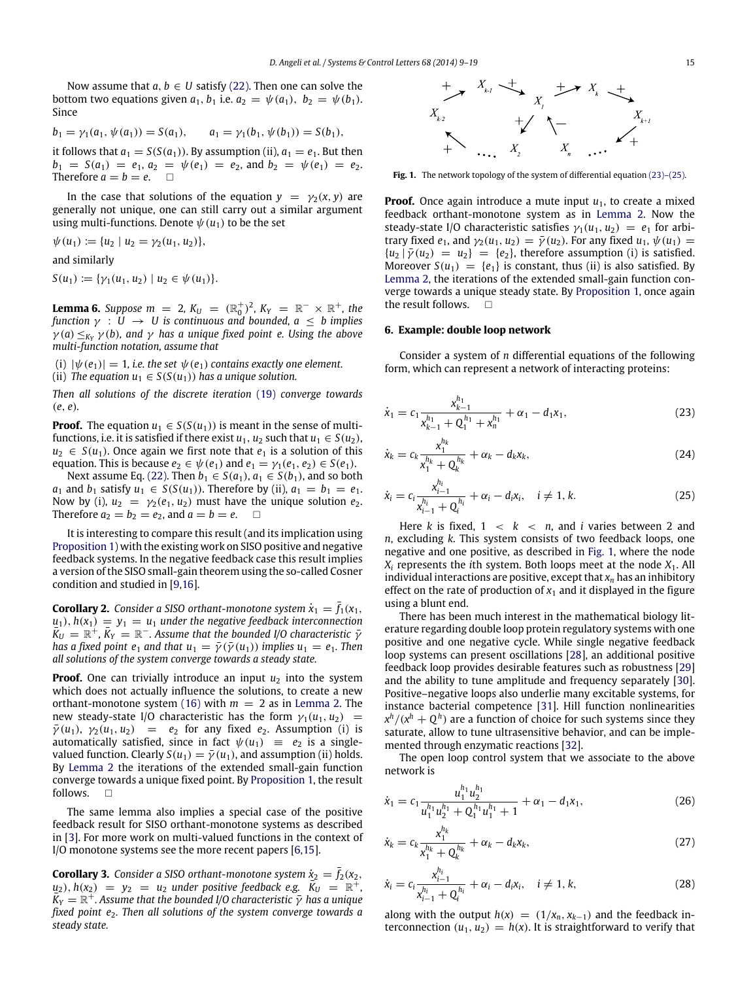Now assume that  $a, b \in U$  satisfy [\(22\).](#page-5-1) Then one can solve the bottom two equations given  $a_1$ ,  $b_1$  i.e.  $a_2 = \psi(a_1)$ ,  $b_2 = \psi(b_1)$ . Since

$$
b_1 = \gamma_1(a_1, \psi(a_1)) = S(a_1), \qquad a_1 = \gamma_1(b_1, \psi(b_1)) = S(b_1),
$$

it follows that  $a_1 = S(S(a_1))$ . By assumption (ii),  $a_1 = e_1$ . But then  $b_1 = S(a_1) = e_1, a_2 = \psi(e_1) = e_2$ , and  $b_2 = \psi(e_1) = e_2$ . Therefore  $a = b = e$ .  $\Box$ 

In the case that solutions of the equation  $y = \gamma_2(x, y)$  are generally not unique, one can still carry out a similar argument using multi-functions. Denote  $\psi(u_1)$  to be the set

 $\psi(u_1) := \{u_2 \mid u_2 = \gamma_2(u_1, u_2)\},\$ 

and similarly

 $S(u_1) := {\gamma_1(u_1, u_2) \mid u_2 \in \psi(u_1)}.$ 

<span id="page-6-2"></span>**Lemma 6.** Suppose  $m = 2$ ,  $K_U = (\mathbb{R}_0^+)^2$ ,  $K_Y = \mathbb{R}^- \times \mathbb{R}^+$ , the *function*  $\gamma : U \rightarrow U$  *is continuous and bounded, a*  $\leq b$  *implies*  $\gamma$ (a)  $\leq_{K_Y} \gamma$ (b), and  $\gamma$  has a unique fixed point e. Using the above *multi-function notation, assume that*

(i)  $|\psi(e_1)| = 1$ , *i.e. the set*  $\psi(e_1)$  *contains exactly one element.* 

(ii) *The equation*  $u_1 \in S(S(u_1))$  *has a unique solution.* 

*Then all solutions of the discrete iteration* [\(19\)](#page-4-3) *converge towards* (*e*, *e*)*.*

**Proof.** The equation  $u_1 \in S(S(u_1))$  is meant in the sense of multifunctions, i.e. it is satisfied if there exist  $u_1$ ,  $u_2$  such that  $u_1 \in S(u_2)$ ,  $u_2 \in S(u_1)$ . Once again we first note that  $e_1$  is a solution of this equation. This is because  $e_2 \in \psi(e_1)$  and  $e_1 = \gamma_1(e_1, e_2) \in S(e_1)$ .

Next assume Eq. [\(22\).](#page-5-1) Then  $b_1 \in S(a_1)$ ,  $a_1 \in S(b_1)$ , and so both *a*<sub>1</sub> and *b*<sub>1</sub> satisfy *u*<sub>1</sub> ∈ *S*(*S*(*u*<sub>1</sub>)). Therefore by (ii), *a*<sub>1</sub> = *b*<sub>1</sub> = *e*<sub>1</sub>. Now by (i),  $u_2 = \gamma_2(e_1, u_2)$  must have the unique solution  $e_2$ . Therefore  $a_2 = b_2 = e_2$ , and  $a = b = e$ .

It is interesting to compare this result (and its implication using [Proposition 1\)](#page-4-2) with the existing work on SISO positive and negative feedback systems. In the negative feedback case this result implies a version of the SISO small-gain theorem using the so-called Cosner condition and studied in [\[9](#page-10-0)[,16\]](#page-10-8).

**Corollary 2.** *Consider a SISO orthant-monotone system*  $\dot{x}_1 = \bar{f}_1(x_1)$ ,  $u_1$ ,  $h(x_1) = y_1 = u_1$  *under the negative feedback interconnection*  $\overline{K}_U = \mathbb{R}^+$ ,  $\overline{K}_Y = \mathbb{R}^-$ . Assume that the bounded I/O characteristic  $\overline{Y}$ *has a fixed point e<sub>1</sub> and that*  $u_1 = \overline{\gamma}(\overline{\gamma}(u_1))$  *<i>implies*  $u_1 = e_1$ *. Then all solutions of the system converge towards a steady state.*

**Proof.** One can trivially introduce an input  $u_2$  into the system which does not actually influence the solutions, to create a new orthant-monotone system [\(16\)](#page-4-0) with  $m = 2$  as in [Lemma 2.](#page-3-0) The new steady-state I/O characteristic has the form  $\gamma_1(u_1, u_2)$  =  $\bar{\gamma}(u_1)$ ,  $\gamma_2(u_1, u_2) = e_2$  for any fixed  $e_2$ . Assumption (i) is automatically satisfied, since in fact  $\psi(u_1) \equiv e_2$  is a singlevalued function. Clearly  $S(u_1) = \overline{\gamma}(u_1)$ , and assumption (ii) holds. By [Lemma 2](#page-3-0) the iterations of the extended small-gain function converge towards a unique fixed point. By [Proposition 1,](#page-4-2) the result follows.  $\Box$ 

The same lemma also implies a special case of the positive feedback result for SISO orthant-monotone systems as described in [\[3\]](#page-9-2). For more work on multi-valued functions in the context of I/O monotone systems see the more recent papers [\[6](#page-10-6)[,15\]](#page-10-7).

**Corollary 3.** *Consider a SISO orthant-monotone system*  $\dot{x}_2 = \bar{f}_2(x_2,$  $u_2$ ),  $h(x_2) = y_2 = u_2$  *under positive feedback e.g.*  $K_U = \mathbb{R}^+$ ,  $K_Y = \mathbb{R}^+$ . Assume that the bounded I/O characteristic  $\bar{\gamma}$  has a unique *fixed point e*2*. Then all solutions of the system converge towards a steady state.*

<span id="page-6-1"></span>

Fig. 1. The network topology of the system of differential equation (23)-(25).

**Proof.** Once again introduce a mute input  $u_1$ , to create a mixed feedback orthant-monotone system as in [Lemma 2.](#page-3-0) Now the steady-state I/O characteristic satisfies  $\gamma_1(u_1, u_2) = e_1$  for arbitrary fixed  $e_1$ , and  $\gamma_2(u_1, u_2) = \overline{\gamma}(u_2)$ . For any fixed  $u_1, \psi(u_1) =$  ${u_2 | \bar{\gamma}(u_2) = u_2} = {e_2}$ , therefore assumption (i) is satisfied. Moreover  $S(u_1) = \{e_1\}$  is constant, thus (ii) is also satisfied. By [Lemma 2,](#page-3-0) the iterations of the extended small-gain function converge towards a unique steady state. By [Proposition 1,](#page-4-2) once again the result follows.  $\square$ 

#### **6. Example: double loop network**

Consider a system of *n* differential equations of the following form, which can represent a network of interacting proteins:

<span id="page-6-0"></span>
$$
\dot{x}_1 = c_1 \frac{x_{k-1}^{h_1}}{x_{k-1}^{h_1} + Q_1^{h_1} + x_n^{h_1}} + \alpha_1 - d_1 x_1,
$$
\n(23)

$$
\dot{x}_k = c_k \frac{x_1^{h_k}}{x_1^{h_k} + Q_k^{h_k}} + \alpha_k - d_k x_k, \qquad (24)
$$

$$
\dot{x}_i = c_i \frac{x_{i-1}^{h_i}}{x_{i-1}^{h_i} + Q_i^{h_i}} + \alpha_i - d_i x_i, \quad i \neq 1, k. \tag{25}
$$

Here *k* is fixed,  $1 \lt k \lt n$ , and *i* varies between 2 and *n*, excluding *k*. This system consists of two feedback loops, one negative and one positive, as described in [Fig. 1,](#page-6-1) where the node  $X_i$  represents the *i*th system. Both loops meet at the node  $X_1$ . All individual interactions are positive, except that *x<sup>n</sup>* has an inhibitory effect on the rate of production of  $x_1$  and it displayed in the figure using a blunt end.

There has been much interest in the mathematical biology literature regarding double loop protein regulatory systems with one positive and one negative cycle. While single negative feedback loop systems can present oscillations [\[28\]](#page-10-18), an additional positive feedback loop provides desirable features such as robustness [\[29\]](#page-10-19) and the ability to tune amplitude and frequency separately [\[30\]](#page-10-20). Positive–negative loops also underlie many excitable systems, for instance bacterial competence [\[31\]](#page-10-21). Hill function nonlinearities  $x^h/(x^h + Q^h)$  are a function of choice for such systems since they saturate, allow to tune ultrasensitive behavior, and can be implemented through enzymatic reactions [\[32\]](#page-10-22).

The open loop control system that we associate to the above network is

$$
\dot{x}_1 = c_1 \frac{u_1^{h_1} u_2^{h_1}}{u_1^{h_1} u_2^{h_1} + Q_1^{h_1} u_1^{h_1} + 1} + \alpha_1 - d_1 x_1,
$$
\n(26)

$$
\dot{x}_k = c_k \frac{x_1^{h_k}}{x_1^{h_k} + Q_k^{h_k}} + \alpha_k - d_k x_k, \qquad (27)
$$

$$
\dot{x}_i = c_i \frac{x_{i-1}^{h_i}}{x_{i-1}^{h_i} + Q_i^{h_i}} + \alpha_i - d_i x_i, \quad i \neq 1, k,
$$
\n(28)

along with the output  $h(x) = (1/x_n, x_{k-1})$  and the feedback interconnection  $(u_1, u_2) = h(x)$ . It is straightforward to verify that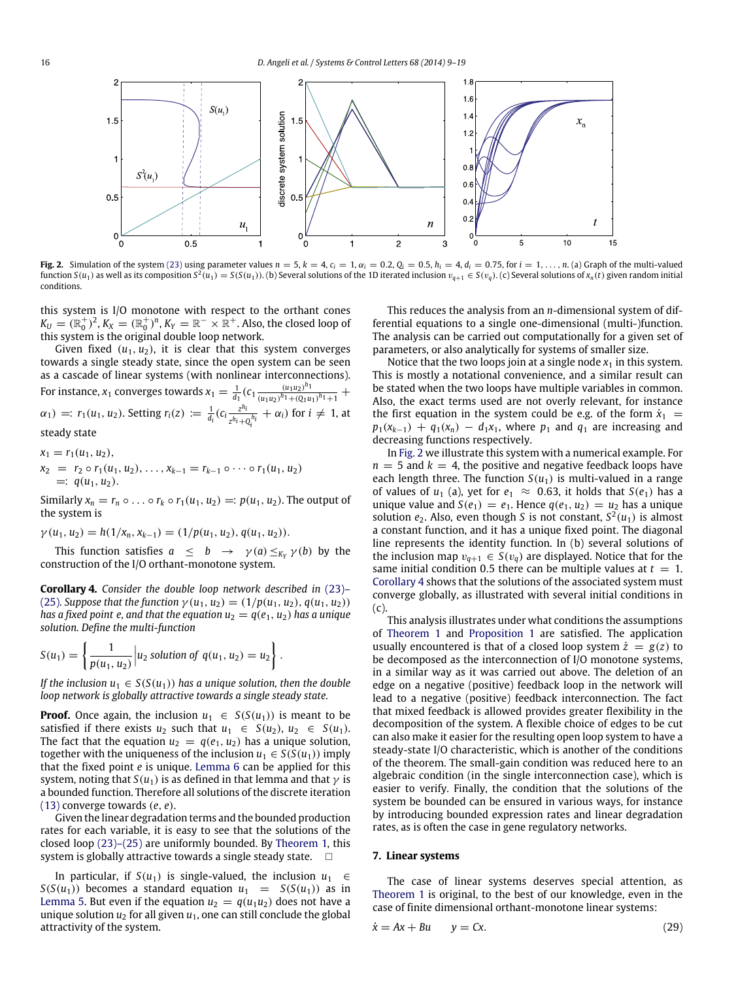<span id="page-7-0"></span>

Fig. 2. Simulation of the system [\(23\)](#page-6-0) using parameter values  $n = 5$ ,  $k = 4$ ,  $c_i = 1$ ,  $\alpha_i = 0.2$ ,  $Q_i = 0.5$ ,  $h_i = 4$ ,  $d_i = 0.75$ , for  $i = 1, ..., n$ . (a) Graph of the multi-valued function  $S(u_1)$  as well as its composition  $S^2(u_1) = S(S(u_1))$ . (b) Several solutions of the 1D iterated inclusion  $v_{q+1} \in S(v_q)$ . (c) Several solutions of  $x_n(t)$  given random initial conditions.

this system is I/O monotone with respect to the orthant cones  $K_U = (\mathbb{R}_0^+)^2$ ,  $K_X = (\mathbb{R}_0^+)^n$ ,  $K_Y = \mathbb{R}^- \times \mathbb{R}^+$ . Also, the closed loop of this system is the original double loop network.

Given fixed  $(u_1, u_2)$ , it is clear that this system converges towards a single steady state, since the open system can be seen as a cascade of linear systems (with nonlinear interconnections). For instance,  $x_1$  converges towards  $x_1 = \frac{1}{d_1} (c_1 \frac{(u_1 u_2)^{h_1}}{(u_1 u_2)^{h_1} + (Q_1 u_1)^{h_1}})$  $\frac{(u_1u_2)^{n_1}}{(u_1u_2)^{h_1}+(Q_1u_1)^{h_1}+1}$  +  $\alpha_1$  =  $r_1(u_1, u_2)$ . Setting  $r_i(z) := \frac{1}{d_i} (c_i \frac{z^{h_i}}{z^{h_i} + 1})$  $\frac{z^{n_i}}{z^{h_i}+Q_i^{h_i}} + \alpha_i$ ) for  $i \neq 1$ , at steady state

$$
x_1 = r_1(u_1, u_2),
$$
  
\n
$$
x_2 = r_2 \circ r_1(u_1, u_2), \dots, x_{k-1} = r_{k-1} \circ \dots \circ r_1(u_1, u_2)
$$
  
\n
$$
=: q(u_1, u_2).
$$

Similarly  $x_n = r_n \circ \ldots \circ r_k \circ r_1(u_1, u_2) =: p(u_1, u_2)$ . The output of the system is

$$
\gamma(u_1, u_2) = h(1/x_n, x_{k-1}) = (1/p(u_1, u_2), q(u_1, u_2)).
$$

This function satisfies  $a \leq b \rightarrow \gamma(a) \leq_{K_Y} \gamma(b)$  by the construction of the I/O orthant-monotone system.

<span id="page-7-1"></span>**[C](#page-6-0)orollary 4.** *Consider the double loop network described in* [\(23\)–](#page-6-0) [\(25\)](#page-6-0)*.* Suppose that the function  $\gamma(u_1, u_2) = (1/p(u_1, u_2), q(u_1, u_2))$ *has a fixed point e, and that the equation*  $u_2 = q(e_1, u_2)$  *has a unique solution. Define the multi-function*

$$
S(u_1) = \left\{ \frac{1}{p(u_1, u_2)} \middle| u_2 \text{ solution of } q(u_1, u_2) = u_2 \right\}
$$

*If the inclusion*  $u_1 \in S(S(u_1))$  *has a unique solution, then the double loop network is globally attractive towards a single steady state.*

.

**Proof.** Once again, the inclusion  $u_1 \in S(S(u_1))$  is meant to be satisfied if there exists  $u_2$  such that  $u_1 \in S(u_2)$ ,  $u_2 \in S(u_1)$ . The fact that the equation  $u_2 = q(e_1, u_2)$  has a unique solution, together with the uniqueness of the inclusion  $u_1 \in S(S(u_1))$  imply that the fixed point *e* is unique. [Lemma 6](#page-6-2) can be applied for this system, noting that  $S(u_1)$  is as defined in that lemma and that  $\gamma$  is a bounded function. Therefore all solutions of the discrete iteration [\(13\)](#page-3-2) converge towards (*e*, *e*).

Given the linear degradation terms and the bounded production rates for each variable, it is easy to see that the solutions of the closed loop [\(23\)–\(25\)](#page-6-0) are uniformly bounded. By [Theorem 1,](#page-3-1) this system is globally attractive towards a single steady state.  $\Box$ 

In particular, if *S*( $u_1$ ) is single-valued, the inclusion  $u_1$  ∈ *S*(*S*(*u*<sub>1</sub>)) becomes a standard equation  $u_1 = S(S(u_1))$  as in [Lemma 5.](#page-5-3) But even if the equation  $u_2 = q(u_1u_2)$  does not have a unique solution  $u_2$  for all given  $u_1$ , one can still conclude the global attractivity of the system.

This reduces the analysis from an *n*-dimensional system of differential equations to a single one-dimensional (multi-)function. The analysis can be carried out computationally for a given set of parameters, or also analytically for systems of smaller size.

Notice that the two loops join at a single node  $x_1$  in this system. This is mostly a notational convenience, and a similar result can be stated when the two loops have multiple variables in common. Also, the exact terms used are not overly relevant, for instance the first equation in the system could be e.g. of the form  $\dot{x}_1$  =  $p_1(x_{k-1}) + q_1(x_n) - d_1x_1$ , where  $p_1$  and  $q_1$  are increasing and decreasing functions respectively.

In [Fig. 2](#page-7-0) we illustrate this system with a numerical example. For  $n = 5$  and  $k = 4$ , the positive and negative feedback loops have each length three. The function  $S(u_1)$  is multi-valued in a range of values of  $u_1$  (a), yet for  $e_1 \approx 0.63$ , it holds that  $S(e_1)$  has a unique value and  $S(e_1) = e_1$ . Hence  $q(e_1, u_2) = u_2$  has a unique solution  $e_2$ . Also, even though *S* is not constant,  $S^2(u_1)$  is almost a constant function, and it has a unique fixed point. The diagonal line represents the identity function. In (b) several solutions of the inclusion map  $v_{q+1} \in S(v_q)$  are displayed. Notice that for the same initial condition 0.5 there can be multiple values at  $t = 1$ . [Corollary 4](#page-7-1) shows that the solutions of the associated system must converge globally, as illustrated with several initial conditions in (c).

This analysis illustrates under what conditions the assumptions of [Theorem 1](#page-3-1) and [Proposition 1](#page-4-2) are satisfied. The application usually encountered is that of a closed loop system  $\dot{z} = g(z)$  to be decomposed as the interconnection of I/O monotone systems, in a similar way as it was carried out above. The deletion of an edge on a negative (positive) feedback loop in the network will lead to a negative (positive) feedback interconnection. The fact that mixed feedback is allowed provides greater flexibility in the decomposition of the system. A flexible choice of edges to be cut can also make it easier for the resulting open loop system to have a steady-state I/O characteristic, which is another of the conditions of the theorem. The small-gain condition was reduced here to an algebraic condition (in the single interconnection case), which is easier to verify. Finally, the condition that the solutions of the system be bounded can be ensured in various ways, for instance by introducing bounded expression rates and linear degradation rates, as is often the case in gene regulatory networks.

# **7. Linear systems**

The case of linear systems deserves special attention, as [Theorem 1](#page-3-1) is original, to the best of our knowledge, even in the case of finite dimensional orthant-monotone linear systems:

$$
\dot{x} = Ax + Bu \qquad y = Cx. \tag{29}
$$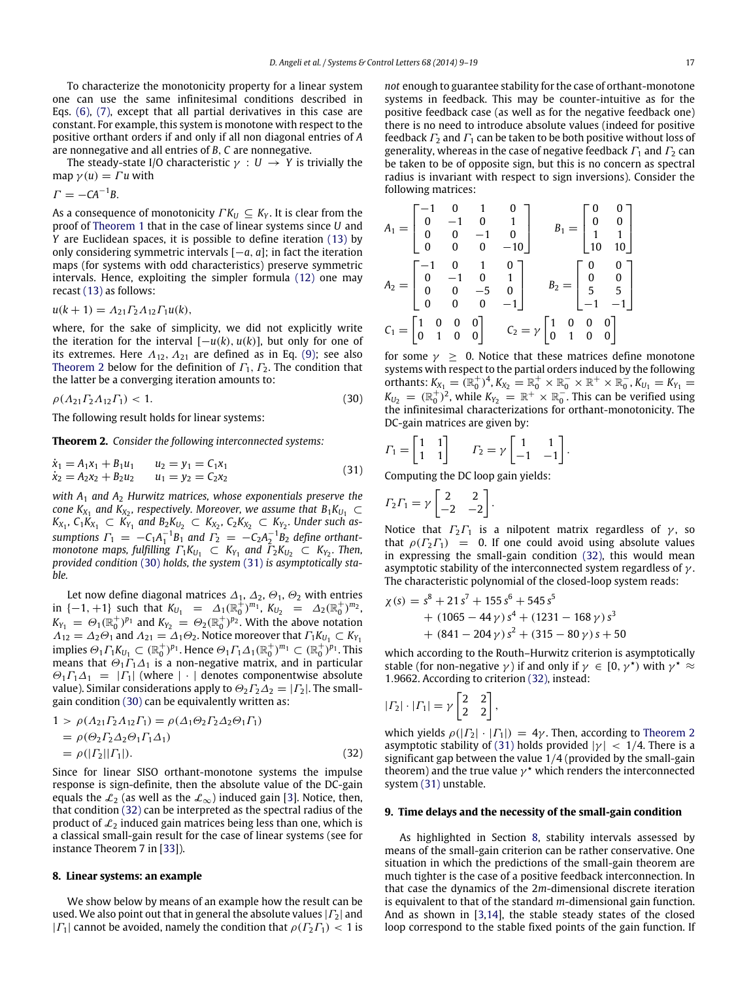To characterize the monotonicity property for a linear system one can use the same infinitesimal conditions described in Eqs. [\(6\),](#page-2-5) [\(7\),](#page-2-6) except that all partial derivatives in this case are constant. For example, this system is monotone with respect to the positive orthant orders if and only if all non diagonal entries of *A* are nonnegative and all entries of *B*, *C* are nonnegative.

The steady-state I/O characteristic  $\gamma : U \to Y$  is trivially the map  $\gamma(u) = \Gamma u$  with

$$
\Gamma = -CA^{-1}B.
$$

As a consequence of monotonicity  $\Gamma K_U \subseteq K_Y$ . It is clear from the proof of [Theorem 1](#page-3-1) that in the case of linear systems since *U* and *Y* are Euclidean spaces, it is possible to define iteration [\(13\)](#page-3-2) by only considering symmetric intervals [−*a*, *a*]; in fact the iteration maps (for systems with odd characteristics) preserve symmetric intervals. Hence, exploiting the simpler formula [\(12\)](#page-2-7) one may recast [\(13\)](#page-3-2) as follows:

$$
u(k+1) = A_{21} \Gamma_2 A_{12} \Gamma_1 u(k),
$$

where, for the sake of simplicity, we did not explicitly write the iteration for the interval  $[-u(k), u(k)]$ , but only for one of its extremes. Here  $A_{12}$ ,  $A_{21}$  are defined as in Eq. [\(9\);](#page-2-2) see also [Theorem 2](#page-8-1) below for the definition of  $\Gamma_1$ ,  $\Gamma_2$ . The condition that the latter be a converging iteration amounts to:

$$
\rho(A_{21} \Gamma_2 A_{12} \Gamma_1) < 1. \tag{30}
$$

The following result holds for linear systems:

<span id="page-8-1"></span>**Theorem 2.** *Consider the following interconnected systems:*

$$
\begin{aligned}\n\dot{x}_1 &= A_1 x_1 + B_1 u_1 & u_2 &= y_1 = C_1 x_1 \\
\dot{x}_2 &= A_2 x_2 + B_2 u_2 & u_1 &= y_2 = C_2 x_2\n\end{aligned} \tag{31}
$$

*with A*<sup>1</sup> *and A*<sup>2</sup> *Hurwitz matrices, whose exponentials preserve the cone*  $K_{X_1}$  and  $K_{X_2}$ , respectively. Moreover, we assume that  $B_1K_{U_1} \subset$ *K*<sub>*X*1</sub></sub> *C*<sub>1</sub> *K*<sub>*X*<sub>1</sub></sub> *C*<sub>*K*<sub>*Y*</sub><sub>1</sub></sub> *and B*<sub>2</sub>*K<sub>U<sub>2</sub></sub> C*<sub>*K*<sub>2</sub></sub>, *C*<sub>2</sub>*K<sub>X<sub>2</sub></sub> C*<sub>*K*<sub>2</sub></sub>. *Under such as sumptions*  $\Gamma_1 = -C_1 A_1^{-1} B_1$  *and*  $\Gamma_2 = -C_2 A_2^{-1} B_2$  *define orthantmonotone maps, fulfilling*  $\Gamma_1 K_{U_1} \subset K_{Y_1}$  and  $\overline{\Gamma_2} K_{U_2} \subset K_{Y_2}$ . Then, *provided condition* [\(30\)](#page-8-2) *holds, the system* [\(31\)](#page-8-3) *is asymptotically stable.*

Let now define diagonal matrices  $\Delta_1$ ,  $\Delta_2$ ,  $\Theta_1$ ,  $\Theta_2$  with entries in  $\{-1, +1\}$  such that  $K_{U_1} = \Delta_1(\mathbb{R}_0^+)^{m_1}$ ,  $K_{U_2} = \Delta_2(\mathbb{R}_0^+)^{m_2}$ ,  $K_{Y_1} = \Theta_1(\mathbb{R}_0^+)^{p_1}$  and  $K_{Y_2} = \Theta_2(\mathbb{R}_0^+)^{p_2}$ . With the above notation  $\Lambda_{12} = \Lambda_2 \Theta_1$  and  $\Lambda_{21} = \Lambda_1 \Theta_2$ . Notice moreover that  $\Gamma_1 K_{U_1} \subset K_{Y_1}$ implies  $\Theta_1 \Gamma_1 K_{U_1} \subset (\mathbb{R}_0^+)^{p_1}$ . Hence  $\Theta_1 \Gamma_1 \Delta_1 (\mathbb{R}_0^+)^{m_1} \subset (\mathbb{R}_0^+)^{p_1}$ . This means that  $\Theta_1 \Gamma_1 \Delta_1$  is a non-negative matrix, and in particular  $\Theta_1 \Gamma_1 \Delta_1 = |\Gamma_1|$  (where  $|\cdot|$  denotes componentwise absolute value). Similar considerations apply to  $\Theta_2 \Gamma_2 \Delta_2 = |\Gamma_2|$ . The smallgain condition [\(30\)](#page-8-2) can be equivalently written as:

$$
1 > \rho(A_{21} \Gamma_2 A_{12} \Gamma_1) = \rho(A_{1} \Theta_2 \Gamma_2 \Delta_2 \Theta_1 \Gamma_1)
$$
  
=  $\rho(\Theta_2 \Gamma_2 \Delta_2 \Theta_1 \Gamma_1 \Delta_1)$   
=  $\rho(|\Gamma_2||\Gamma_1|).$  (32)

Since for linear SISO orthant-monotone systems the impulse response is sign-definite, then the absolute value of the DC-gain equals the  $\mathcal{L}_2$  (as well as the  $\mathcal{L}_{\infty}$ ) induced gain [\[3\]](#page-9-2). Notice, then, that condition [\(32\)](#page-8-4) can be interpreted as the spectral radius of the product of  $\mathcal{L}_2$  induced gain matrices being less than one, which is a classical small-gain result for the case of linear systems (see for instance Theorem 7 in [\[33\]](#page-10-23)).

## <span id="page-8-0"></span>**8. Linear systems: an example**

We show below by means of an example how the result can be used. We also point out that in general the absolute values  $|\Gamma_2|$  and | $|\Gamma_1|$  cannot be avoided, namely the condition that  $\rho(\Gamma_2\Gamma_1)$  < 1 is *not* enough to guarantee stability for the case of orthant-monotone systems in feedback. This may be counter-intuitive as for the positive feedback case (as well as for the negative feedback one) there is no need to introduce absolute values (indeed for positive feedback  $\Gamma_2$  and  $\Gamma_1$  can be taken to be both positive without loss of generality, whereas in the case of negative feedback  $\Gamma_1$  and  $\Gamma_2$  can be taken to be of opposite sign, but this is no concern as spectral radius is invariant with respect to sign inversions). Consider the following matrices:

$$
A_1 = \begin{bmatrix} -1 & 0 & 1 & 0 \\ 0 & -1 & 0 & 1 \\ 0 & 0 & -1 & 0 \\ 0 & 0 & 0 & -10 \end{bmatrix} \qquad B_1 = \begin{bmatrix} 0 & 0 \\ 0 & 0 \\ 1 & 1 \\ 10 & 10 \end{bmatrix}
$$

$$
A_2 = \begin{bmatrix} -1 & 0 & 1 & 0 \\ 0 & -1 & 0 & 1 \\ 0 & 0 & -5 & 0 \\ 0 & 0 & 0 & -1 \end{bmatrix} \qquad B_2 = \begin{bmatrix} 0 & 0 \\ 0 & 0 \\ 5 & 5 \\ -1 & -1 \end{bmatrix}
$$

$$
C_1 = \begin{bmatrix} 1 & 0 & 0 & 0 \\ 0 & 1 & 0 & 0 \end{bmatrix} \qquad C_2 = \gamma \begin{bmatrix} 1 & 0 & 0 & 0 \\ 0 & 1 & 0 & 0 \end{bmatrix}
$$

<span id="page-8-2"></span>for some  $\gamma > 0$ . Notice that these matrices define monotone systems with respect to the partial orders induced by the following orthants:  $K_{X_1} = (\mathbb{R}_0^+)^4$ ,  $K_{X_2} = \mathbb{R}_0^+ \times \mathbb{R}_0^- \times \mathbb{R}^+ \times \mathbb{R}_0^-$ ,  $K_{U_1} = K_{Y_1} =$  $K_{U_2} = (\mathbb{R}_0^+)^2$ , while  $K_{Y_2} = \mathbb{R}^+ \times \mathbb{R}_0^-$ . This can be verified using the infinitesimal characterizations for orthant-monotonicity. The DC-gain matrices are given by:

$$
\varGamma_1 = \begin{bmatrix} 1 & 1 \\ 1 & 1 \end{bmatrix} \qquad \varGamma_2 = \gamma \begin{bmatrix} 1 & 1 \\ -1 & -1 \end{bmatrix}.
$$

<span id="page-8-3"></span>Computing the DC loop gain yields:

$$
\Gamma_2 \Gamma_1 = \gamma \begin{bmatrix} 2 & 2 \\ -2 & -2 \end{bmatrix}.
$$

Notice that  $\Gamma_2\Gamma_1$  is a nilpotent matrix regardless of  $\gamma$ , so that  $\rho(\Gamma_2 \Gamma_1) = 0$ . If one could avoid using absolute values in expressing the small-gain condition [\(32\),](#page-8-4) this would mean asymptotic stability of the interconnected system regardless of  $\gamma$ . The characteristic polynomial of the closed-loop system reads:

$$
\begin{aligned} \chi(s) &= s^8 + 21 s^7 + 155 s^6 + 545 s^5 \\ &+ (1065 - 44 \gamma) s^4 + (1231 - 168 \gamma) s^3 \\ &+ (841 - 204 \gamma) s^2 + (315 - 80 \gamma) s + 50 \end{aligned}
$$

which according to the Routh–Hurwitz criterion is asymptotically stable (for non-negative  $\gamma$ ) if and only if  $\gamma \in [0, \gamma^{\star})$  with  $\gamma^{\star} \approx$ 1.9662. According to criterion [\(32\),](#page-8-4) instead:

$$
|\varGamma_2|\cdot|\varGamma_1|=\gamma\begin{bmatrix}2&2\\2&2\end{bmatrix},
$$

<span id="page-8-4"></span>which yields  $\rho(|\Gamma_2| \cdot |\Gamma_1|) = 4\gamma$ . Then, according to [Theorem 2](#page-8-1) asymptotic stability of [\(31\)](#page-8-3) holds provided  $|\gamma| < 1/4$ . There is a significant gap between the value 1/4 (provided by the small-gain theorem) and the true value  $\gamma^*$  which renders the interconnected system [\(31\)](#page-8-3) unstable.

# **9. Time delays and the necessity of the small-gain condition**

As highlighted in Section [8,](#page-8-0) stability intervals assessed by means of the small-gain criterion can be rather conservative. One situation in which the predictions of the small-gain theorem are much tighter is the case of a positive feedback interconnection. In that case the dynamics of the 2*m*-dimensional discrete iteration is equivalent to that of the standard *m*-dimensional gain function. And as shown in [\[3,](#page-9-2)[14\]](#page-10-5), the stable steady states of the closed loop correspond to the stable fixed points of the gain function. If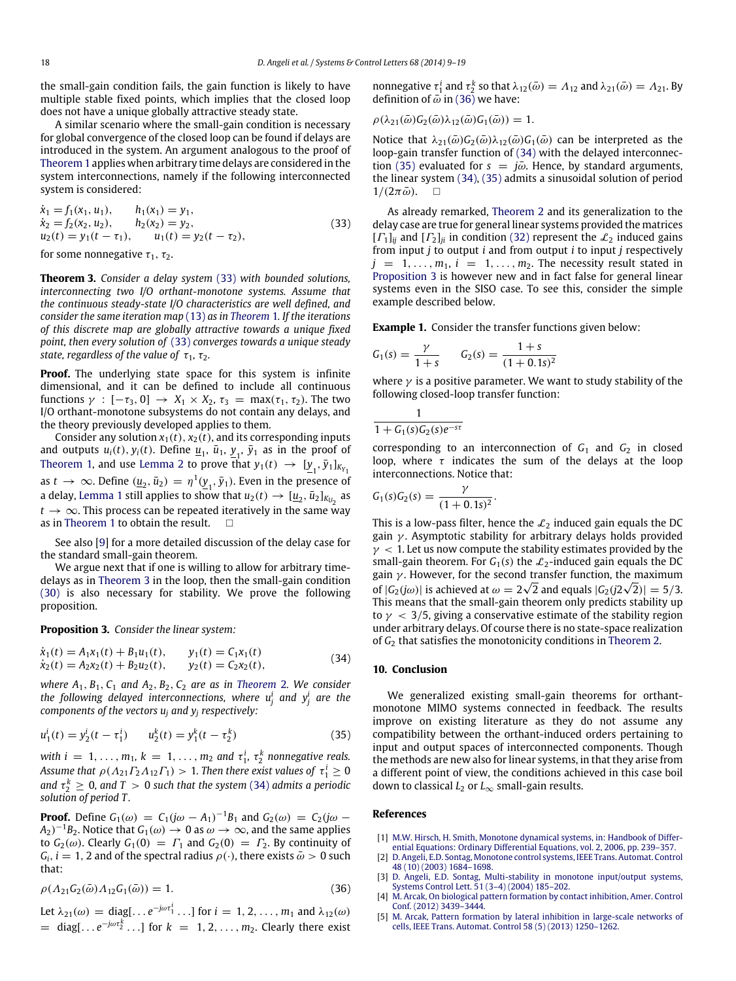the small-gain condition fails, the gain function is likely to have multiple stable fixed points, which implies that the closed loop does not have a unique globally attractive steady state.

A similar scenario where the small-gain condition is necessary for global convergence of the closed loop can be found if delays are introduced in the system. An argument analogous to the proof of [Theorem 1](#page-3-1) applies when arbitrary time delays are considered in the system interconnections, namely if the following interconnected system is considered:

 $\dot{x}_1 = f_1(x_1, u_1),$   $h_1(x_1) = y_1,$ <br>  $\dot{x}_2 = f_2(x_2, u_2),$   $h_2(x_2) = y_2,$  $\dot{x}_2 = f_2(x_2, u_2),$  $u_2(t) = y_1(t - \tau_1), \qquad u_1(t) = y_2(t - \tau_2),$ (33)

for some nonnegative  $\tau_1$ ,  $\tau_2$ .

<span id="page-9-6"></span>**Theorem 3.** *Consider a delay system* [\(33\)](#page-9-5) *with bounded solutions, interconnecting two I/O orthant-monotone systems. Assume that the continuous steady-state I/O characteristics are well defined, and consider the same iteration map* [\(13\)](#page-3-2) *as in [Theorem](#page-3-1)* 1*. If the iterations of this discrete map are globally attractive towards a unique fixed point, then every solution of* [\(33\)](#page-9-5) *converges towards a unique steady state, regardless of the value of*  $\tau_1$ ,  $\tau_2$ *.* 

**Proof.** The underlying state space for this system is infinite dimensional, and it can be defined to include all continuous functions  $\gamma : [-\tau_3, 0] \rightarrow X_1 \times X_2$ ,  $\tau_3 = \max(\tau_1, \tau_2)$ . The two I/O orthant-monotone subsystems do not contain any delays, and the theory previously developed applies to them.

Consider any solution  $x_1(t)$ ,  $x_2(t)$ , and its corresponding inputs and outputs  $u_i(t)$ ,  $y_i(t)$ . Define  $\underline{u}_1$ ,  $\overline{u}_1$ ,  $\underline{y}_1$ ,  $\overline{y}_1$  as in the proof of [Theorem 1,](#page-3-1) and use [Lemma 2](#page-3-0) to prove that  $y_1(t) \rightarrow [y_1, \bar{y}_1]_{K_{Y_1}}$ as  $t \to \infty$ . Define  $(\underline{u}_2, \bar{u}_2) = \eta^1(\underline{y}_1, \bar{y}_1)$ . Even in the presence of a delay, [Lemma 1](#page-2-4) still applies to show that  $u_2(t) \to [\underline{u}_2, \overline{u}_2]_{K_{U_2}}$  as  $t \rightarrow \infty$ . This process can be repeated iteratively in the same way as in [Theorem 1](#page-3-1) to obtain the result.  $\square$ 

See also [\[9\]](#page-10-0) for a more detailed discussion of the delay case for the standard small-gain theorem.

We argue next that if one is willing to allow for arbitrary timedelays as in [Theorem 3](#page-9-6) in the loop, then the small-gain condition [\(30\)](#page-8-2) is also necessary for stability. We prove the following proposition.

<span id="page-9-10"></span>**Proposition 3.** *Consider the linear system:*

$$
\dot{x}_1(t) = A_1 x_1(t) + B_1 u_1(t), \qquad y_1(t) = C_1 x_1(t)
$$
  
\n
$$
\dot{x}_2(t) = A_2 x_2(t) + B_2 u_2(t), \qquad y_2(t) = C_2 x_2(t),
$$
\n(34)

*where*  $A_1$ ,  $B_1$ ,  $C_1$  *and*  $A_2$ ,  $B_2$ ,  $C_2$  *are as in [Theorem](#page-8-1) 2. We consider* the following delayed interconnections, where  $u_j^i$  and  $y_j^i$  are the *components of the vectors u<sup>j</sup> and y<sup>j</sup> respectively:*

$$
u_1^i(t) = y_2^i(t - \tau_1^i) \qquad u_2^k(t) = y_1^k(t - \tau_2^k) \tag{35}
$$

*with*  $i = 1, \ldots, m_1, k = 1, \ldots, m_2$  and  $\tau_1^i$ ,  $\tau_2^k$  nonnegative reals. Assume that  $\rho(\Lambda_{21}\Gamma_{2}\Lambda_{12}\Gamma_{1})>1$ . Then there exist values of  $\tau_{1}^{i}\geq0$ and  $\tau_2^k \geq 0$ , and  $T > 0$  such that the system [\(34\)](#page-9-7) admits a periodic *solution of period T .*

**Proof.** Define  $G_1(\omega) = C_1(j\omega - A_1)^{-1}B_1$  and  $G_2(\omega) = C_2(j\omega - A_1)^{-1}B_1$  $(A_2)^{-1}B_2$ . Notice that  $G_1(\omega) \to 0$  as  $\omega \to \infty$ , and the same applies to  $G_2(\omega)$ . Clearly  $G_1(0) = \Gamma_1$  and  $G_2(0) = \Gamma_2$ . By continuity of  $G_i$ ,  $i = 1$ , 2 and of the spectral radius  $\rho(\cdot)$ , there exists  $\bar{\omega} > 0$  such that:

$$
\rho(\Lambda_{21}G_2(\bar{\omega})\Lambda_{12}G_1(\bar{\omega})) = 1.
$$
\n(36)

Let  $\lambda_{21}(\omega) = \text{diag}[\ldots e^{-j\omega \tau_1^i} \ldots]$  for  $i = 1, 2, \ldots, m_1$  and  $\lambda_{12}(\omega)$  $=$  diag[... $e^{-j\omega\tau_2^k}$ ...] for  $k = 1, 2, ..., m_2$ . Clearly there exist nonnegative  $\tau_1^i$  and  $\tau_2^k$  so that  $\lambda_{12}(\bar{\omega}) = \Lambda_{12}$  and  $\lambda_{21}(\bar{\omega}) = \Lambda_{21}$ . By definition of  $\vec{\omega}$  in [\(36\)](#page-9-8) we have:

$$
\rho(\lambda_{21}(\bar{\omega})G_2(\bar{\omega})\lambda_{12}(\bar{\omega})G_1(\bar{\omega}))=1.
$$

Notice that  $\lambda_{21}(\bar{\omega}) G_2(\bar{\omega}) \lambda_{12}(\bar{\omega}) G_1(\bar{\omega})$  can be interpreted as the loop-gain transfer function of [\(34\)](#page-9-7) with the delayed interconnec-tion [\(35\)](#page-9-9) evaluated for  $s = j\bar{\omega}$ . Hence, by standard arguments, the linear system [\(34\),](#page-9-7) [\(35\)](#page-9-9) admits a sinusoidal solution of period  $1/(2\pi\bar{\omega})$ .  $\Box$ 

<span id="page-9-5"></span>As already remarked, [Theorem 2](#page-8-1) and its generalization to the delay case are true for general linear systems provided the matrices  $[T_1]_{ii}$  and  $[T_2]_{ii}$  in condition [\(32\)](#page-8-4) represent the  $\mathcal{L}_2$  induced gains from input *j* to output *i* and from output *i* to input *j* respectively  $j = 1, \ldots, m_1, i = 1, \ldots, m_2$ . The necessity result stated in [Proposition 3](#page-9-10) is however new and in fact false for general linear systems even in the SISO case. To see this, consider the simple example described below.

**Example 1.** Consider the transfer functions given below:

$$
G_1(s) = \frac{\gamma}{1+s} \qquad G_2(s) = \frac{1+s}{(1+0.1s)^2}
$$

where  $\gamma$  is a positive parameter. We want to study stability of the following closed-loop transfer function:

$$
\frac{1}{1+G_1(s)G_2(s)e^{-s\tau}}
$$

corresponding to an interconnection of  $G_1$  and  $G_2$  in closed loop, where  $\tau$  indicates the sum of the delays at the loop interconnections. Notice that:

$$
G_1(s)G_2(s) = \frac{\gamma}{(1+0.1s)^2}.
$$

This is a low-pass filter, hence the  $\mathcal{L}_2$  induced gain equals the DC gain  $\gamma$ . Asymptotic stability for arbitrary delays holds provided  $\gamma$  < 1. Let us now compute the stability estimates provided by the small-gain theorem. For  $G_1(s)$  the  $\mathcal{L}_2$ -induced gain equals the DC gain  $\gamma$ . However, for the second transfer function, the maximum of  $|G_2(j\omega)|$  is achieved at  $\omega = 2\sqrt{2}$  and equals  $|G_2(j2\sqrt{2})| = 5/3$ . This means that the small-gain theorem only predicts stability up to  $\gamma$  < 3/5, giving a conservative estimate of the stability region under arbitrary delays. Of course there is no state-space realization of *G*<sup>2</sup> that satisfies the monotonicity conditions in [Theorem 2.](#page-8-1)

## <span id="page-9-7"></span>**10. Conclusion**

<span id="page-9-9"></span>We generalized existing small-gain theorems for orthantmonotone MIMO systems connected in feedback. The results improve on existing literature as they do not assume any compatibility between the orthant-induced orders pertaining to input and output spaces of interconnected components. Though the methods are new also for linear systems, in that they arise from a different point of view, the conditions achieved in this case boil down to classical *L*<sup>2</sup> or *L*∞ small-gain results.

# **References**

- <span id="page-9-0"></span>[1] M.[W. Hirsch, H. Smith, Monotone dynamical systems, in: Handbook of Differ](http://refhub.elsevier.com/S0167-6911(14)00058-9/sbref1)ential Equations: Ordinary Differential Equations, vol. 2, 2006, pp. 239–357.
- <span id="page-9-1"></span>[2] D. [Angeli, E.D. Sontag, Monotone control systems, IEEE Trans. Automat. Control](http://refhub.elsevier.com/S0167-6911(14)00058-9/sbref2) 48 (10) (2003) 1684–1698.
- <span id="page-9-8"></span><span id="page-9-2"></span>[3] D. [Angeli, E.D. Sontag, Multi-stability in monotone input/output systems,](http://refhub.elsevier.com/S0167-6911(14)00058-9/sbref3) Systems Control Lett. 51 (3–4) (2004) 185–202.
- <span id="page-9-3"></span>[4] M. [Arcak, On biological pattern formation by contact inhibition, Amer. Control](http://refhub.elsevier.com/S0167-6911(14)00058-9/sbref4) Conf. (2012) 3439–3444.
- <span id="page-9-4"></span>[5] M. [Arcak, Pattern formation by lateral inhibition in large-scale networks of](http://refhub.elsevier.com/S0167-6911(14)00058-9/sbref5) cells, IEEE Trans. Automat. Control 58 (5) (2013) 1250–1262.